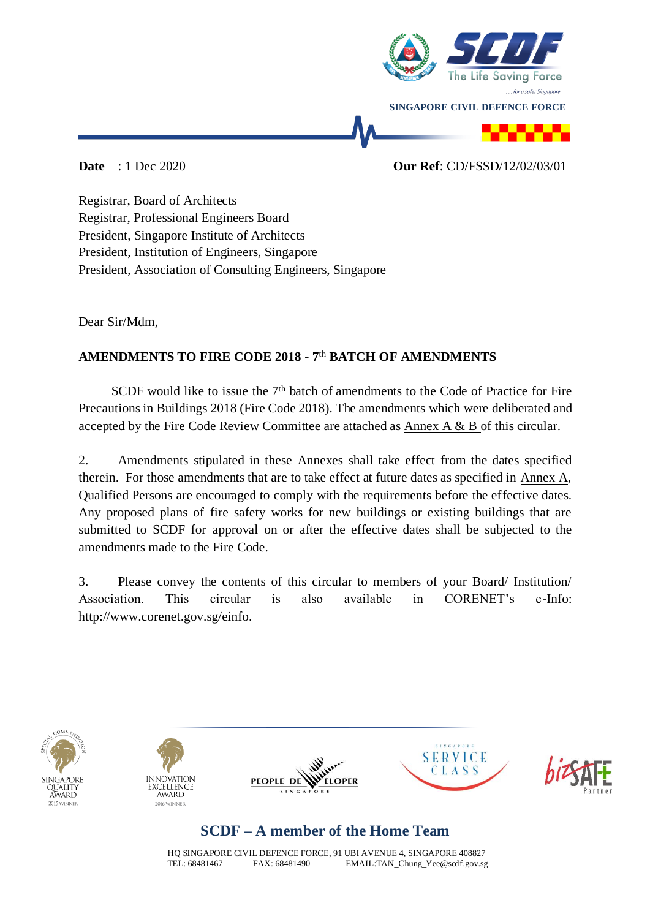

#### **Date** : 1 Dec 2020 **Our Ref**: CD/FSSD/12/02/03/01

Registrar, Board of Architects Registrar, Professional Engineers Board President, Singapore Institute of Architects President, Institution of Engineers, Singapore President, Association of Consulting Engineers, Singapore

Dear Sir/Mdm,

## **AMENDMENTS TO FIRE CODE 2018 - 7** th **BATCH OF AMENDMENTS**

SCDF would like to issue the  $7<sup>th</sup>$  batch of amendments to the Code of Practice for Fire Precautions in Buildings 2018 (Fire Code 2018). The amendments which were deliberated and accepted by the Fire Code Review Committee are attached as Annex A & B of this circular.

2. Amendments stipulated in these Annexes shall take effect from the dates specified therein. For those amendments that are to take effect at future dates as specified in Annex A, Qualified Persons are encouraged to comply with the requirements before the effective dates. Any proposed plans of fire safety works for new buildings or existing buildings that are submitted to SCDF for approval on or after the effective dates shall be subjected to the amendments made to the Fire Code.

3. Please convey the contents of this circular to members of your Board/ Institution/ Association. This circular is also available in CORENET's e-Info: http://www.corenet.gov.sg/einfo.











# **SCDF – A member of the Home Team**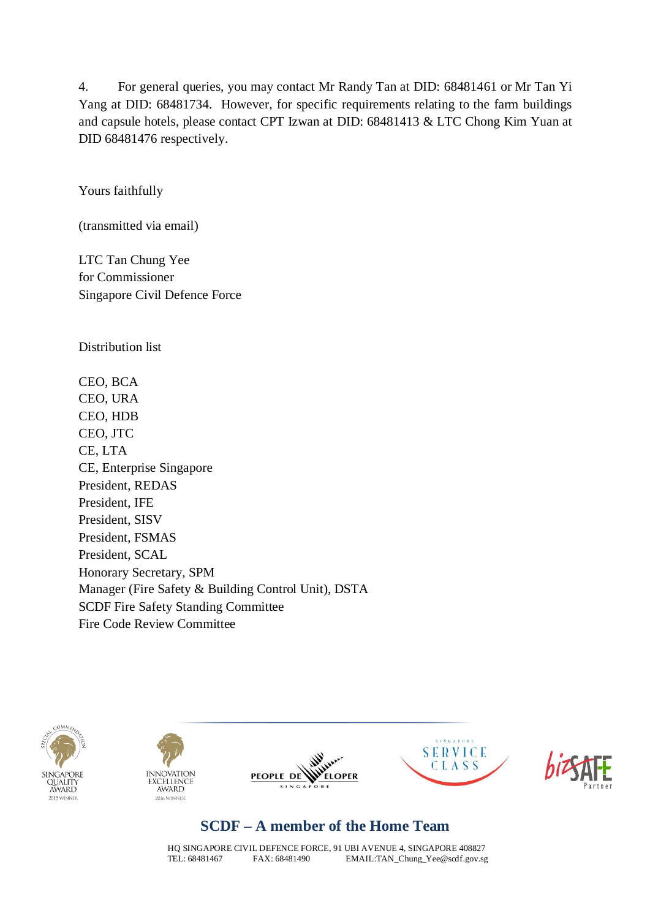4. For general queries, you may contact Mr Randy Tan at DID: 68481461 or Mr Tan Yi Yang at DID: 68481734. However, for specific requirements relating to the farm buildings and capsule hotels, please contact CPT Izwan at DID: 68481413 & LTC Chong Kim Yuan at DID 68481476 respectively.

Yours faithfully

(transmitted via email)

LTC Tan Chung Yee for Commissioner Singapore Civil Defence Force

Distribution list

CEO, BCA CEO, URA CEO, HDB CEO, JTC CE, LTA CE, Enterprise Singapore President, REDAS President, IFE President, SISV President, FSMAS President, SCAL Honorary Secretary, SPM Manager (Fire Safety & Building Control Unit), DSTA SCDF Fire Safety Standing Committee Fire Code Review Committee











## **SCDF – A member of the Home Team**

HQ SINGAPORE CIVIL DEFENCE FORCE, 91 UBI AVENUE 4, SINGAPORE 408827<br>TEL: 68481467 FAX: 68481490 FMAIL:TAN Chung Yee@scdf.gov.sg EMAIL: TAN\_Chung\_Yee@scdf.gov.sg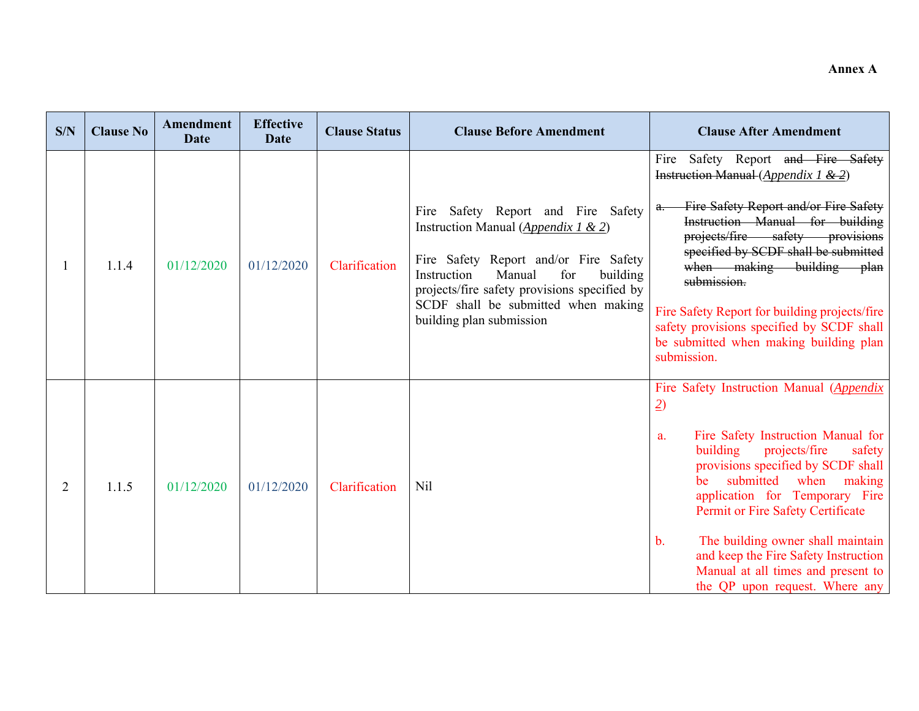| S/N            | <b>Clause No</b> | Amendment<br><b>Date</b> | <b>Effective</b><br><b>Date</b> | <b>Clause Status</b> | <b>Clause Before Amendment</b>                                                                                                                                                                                                                                                    | <b>Clause After Amendment</b>                                                                                                                                                                                                                                                                                                                                                                                                                         |
|----------------|------------------|--------------------------|---------------------------------|----------------------|-----------------------------------------------------------------------------------------------------------------------------------------------------------------------------------------------------------------------------------------------------------------------------------|-------------------------------------------------------------------------------------------------------------------------------------------------------------------------------------------------------------------------------------------------------------------------------------------------------------------------------------------------------------------------------------------------------------------------------------------------------|
|                | 1.1.4            | 01/12/2020               | 01/12/2020                      | Clarification        | Fire Safety Report and Fire Safety<br>Instruction Manual (Appendix 1 & 2)<br>Fire Safety Report and/or Fire Safety<br>Instruction<br>Manual<br>for<br>building<br>projects/fire safety provisions specified by<br>SCDF shall be submitted when making<br>building plan submission | Fire Safety Report and Fire Safety<br>Instruction Manual (Appendix 1 $\&$ 2)<br>Fire Safety Report and/or Fire Safety<br>a.<br>Instruction Manual for building<br>projects/fire safety provisions<br>specified by SCDF shall be submitted<br>when making building plan<br>submission.<br>Fire Safety Report for building projects/fire<br>safety provisions specified by SCDF shall<br>be submitted when making building plan<br>submission.          |
| $\overline{2}$ | 1.1.5            | 01/12/2020               | 01/12/2020                      | Clarification        | Nil                                                                                                                                                                                                                                                                               | Fire Safety Instruction Manual (Appendix<br>$\overline{2}$<br>Fire Safety Instruction Manual for<br>a.<br>building<br>projects/fire<br>safety<br>provisions specified by SCDF shall<br>submitted when making<br>be.<br>application for Temporary Fire<br>Permit or Fire Safety Certificate<br>The building owner shall maintain<br>b.<br>and keep the Fire Safety Instruction<br>Manual at all times and present to<br>the QP upon request. Where any |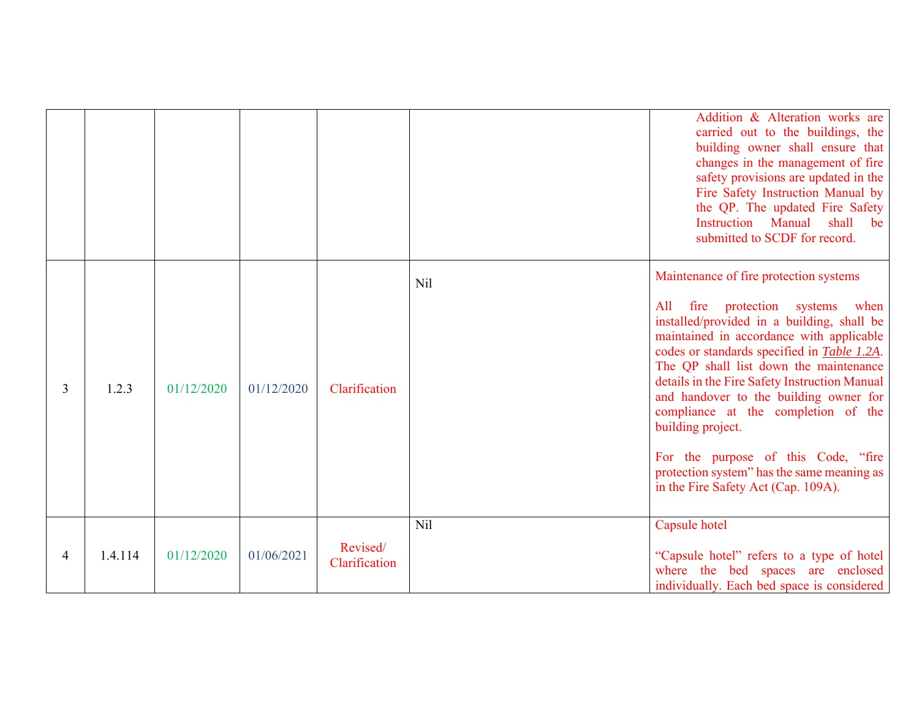|                |         |            |            |               |     | Addition & Alteration works are<br>carried out to the buildings, the<br>building owner shall ensure that<br>changes in the management of fire<br>safety provisions are updated in the<br>Fire Safety Instruction Manual by<br>the QP. The updated Fire Safety<br><b>Instruction</b> Manual<br>shall<br>be<br>submitted to SCDF for record.                                                                                                                                                                           |
|----------------|---------|------------|------------|---------------|-----|----------------------------------------------------------------------------------------------------------------------------------------------------------------------------------------------------------------------------------------------------------------------------------------------------------------------------------------------------------------------------------------------------------------------------------------------------------------------------------------------------------------------|
|                |         |            |            |               | Nil | Maintenance of fire protection systems                                                                                                                                                                                                                                                                                                                                                                                                                                                                               |
| $\overline{3}$ | 1.2.3   | 01/12/2020 | 01/12/2020 | Clarification |     | fire protection systems<br>All<br>when<br>installed/provided in a building, shall be<br>maintained in accordance with applicable<br>codes or standards specified in <b>Table 1.2A</b> .<br>The QP shall list down the maintenance<br>details in the Fire Safety Instruction Manual<br>and handover to the building owner for<br>compliance at the completion of the<br>building project.<br>For the purpose of this Code, "fire<br>protection system" has the same meaning as<br>in the Fire Safety Act (Cap. 109A). |
|                |         |            |            | Revised/      | Nil | Capsule hotel                                                                                                                                                                                                                                                                                                                                                                                                                                                                                                        |
| 4              | 1.4.114 | 01/12/2020 | 01/06/2021 | Clarification |     | "Capsule hotel" refers to a type of hotel<br>where the bed spaces are enclosed<br>individually. Each bed space is considered                                                                                                                                                                                                                                                                                                                                                                                         |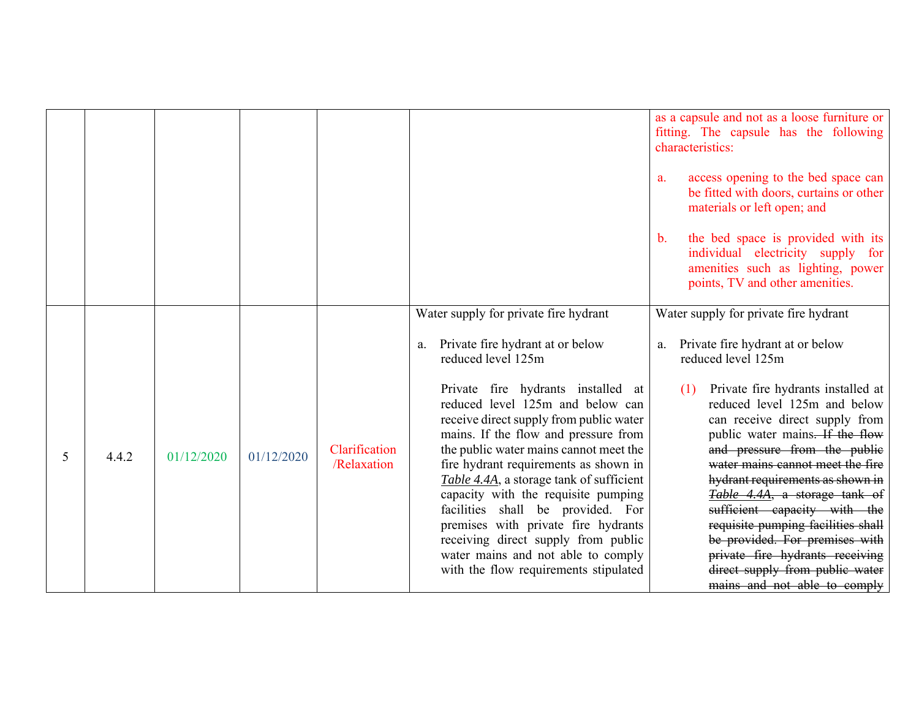|   |       |            |            |                              |                                                                                                                                                                                                                                                                                                                                                                                                                                                                                                                                                                                                                                            | as a capsule and not as a loose furniture or<br>fitting. The capsule has the following<br>characteristics:<br>access opening to the bed space can<br>a.<br>be fitted with doors, curtains or other<br>materials or left open; and<br>the bed space is provided with its<br>$\mathbf{b}$ .<br>individual electricity supply for<br>amenities such as lighting, power<br>points, TV and other amenities.                                                                                                                                                                                                         |
|---|-------|------------|------------|------------------------------|--------------------------------------------------------------------------------------------------------------------------------------------------------------------------------------------------------------------------------------------------------------------------------------------------------------------------------------------------------------------------------------------------------------------------------------------------------------------------------------------------------------------------------------------------------------------------------------------------------------------------------------------|----------------------------------------------------------------------------------------------------------------------------------------------------------------------------------------------------------------------------------------------------------------------------------------------------------------------------------------------------------------------------------------------------------------------------------------------------------------------------------------------------------------------------------------------------------------------------------------------------------------|
| 5 | 4.4.2 | 01/12/2020 | 01/12/2020 | Clarification<br>/Relaxation | Water supply for private fire hydrant<br>Private fire hydrant at or below<br>a.<br>reduced level 125m<br>Private fire hydrants installed at<br>reduced level 125m and below can<br>receive direct supply from public water<br>mains. If the flow and pressure from<br>the public water mains cannot meet the<br>fire hydrant requirements as shown in<br>Table 4.4A, a storage tank of sufficient<br>capacity with the requisite pumping<br>facilities shall be provided. For<br>premises with private fire hydrants<br>receiving direct supply from public<br>water mains and not able to comply<br>with the flow requirements stipulated | Water supply for private fire hydrant<br>Private fire hydrant at or below<br>a.<br>reduced level 125m<br>Private fire hydrants installed at<br>(1)<br>reduced level 125m and below<br>can receive direct supply from<br>public water mains. If the flow<br>and pressure from the public<br>water mains cannot meet the fire<br>hydrant requirements as shown in<br>Table 4.4A, a storage tank of<br>sufficient capacity with the<br>requisite pumping facilities shall<br>be provided. For premises with<br>private fire hydrants receiving<br>direct supply from public water<br>mains and not able to comply |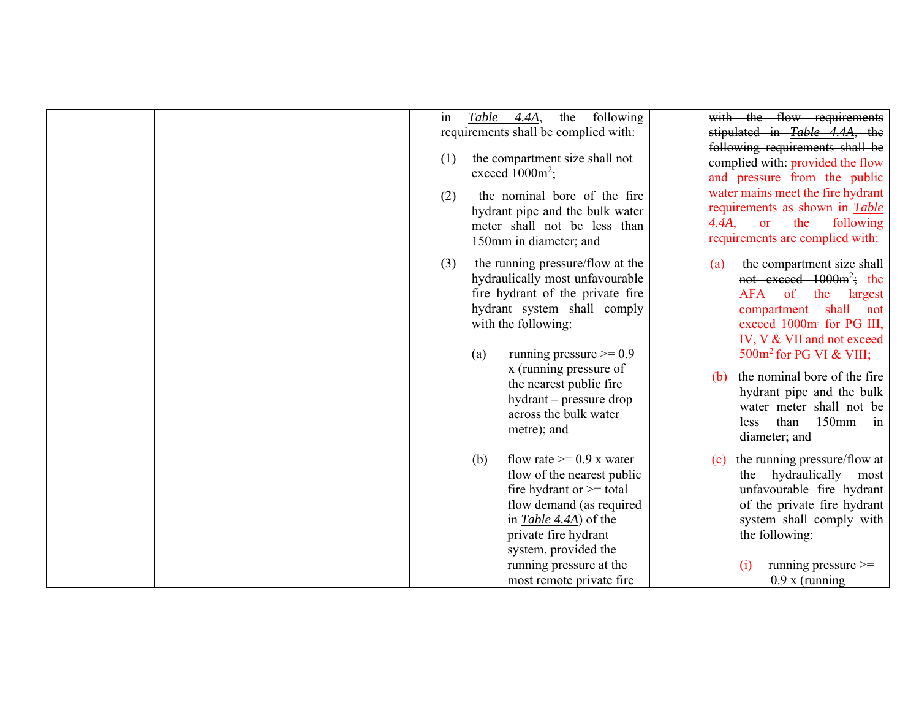|  |  | in<br>(1)<br>(2) | Table | 4.4A,<br>exceed $1000m^2$ ;<br>150mm in diameter; and                                                            | the | following<br>requirements shall be complied with:<br>the compartment size shall not<br>the nominal bore of the fire<br>hydrant pipe and the bulk water<br>meter shall not be less than           | 4.4A,      | with the flow requirements<br>stipulated in Table 4.4A, the<br>following requirements shall be<br>eomplied with: provided the flow<br>and pressure from the public<br>water mains meet the fire hydrant<br>requirements as shown in Table<br>the<br>following<br><b>or</b><br>requirements are complied with:                                                                      |
|--|--|------------------|-------|------------------------------------------------------------------------------------------------------------------|-----|--------------------------------------------------------------------------------------------------------------------------------------------------------------------------------------------------|------------|------------------------------------------------------------------------------------------------------------------------------------------------------------------------------------------------------------------------------------------------------------------------------------------------------------------------------------------------------------------------------------|
|  |  | (3)              | (a)   | with the following:<br>x (running pressure of<br>the nearest public fire<br>across the bulk water<br>metre); and |     | the running pressure/flow at the<br>hydraulically most unfavourable<br>fire hydrant of the private fire<br>hydrant system shall comply<br>running pressure $\geq 0.9$<br>hydrant – pressure drop | (a)<br>(b) | the compartment size shall<br>not exceed $1000m^2$ ; the<br>AFA<br><sub>of</sub><br>the<br>largest<br>shall<br>compartment<br>not<br>exceed 1000m <sup>2</sup> for PG III,<br>IV, V & VII and not exceed<br>$500m^2$ for PG VI & VIII;<br>the nominal bore of the fire<br>hydrant pipe and the bulk<br>water meter shall not be<br>than<br>$150$ mm<br>less<br>in<br>diameter; and |
|  |  |                  | (b)   | in Table 4.4A) of the<br>private fire hydrant<br>system, provided the<br>running pressure at the                 |     | flow rate $\geq 0.9$ x water<br>flow of the nearest public<br>fire hydrant or $\geq$ total<br>flow demand (as required<br>most remote private fire                                               | (c)        | the running pressure/flow at<br>the hydraulically<br>most<br>unfavourable fire hydrant<br>of the private fire hydrant<br>system shall comply with<br>the following:<br>running pressure $\geq$<br>(1)<br>$0.9 x$ (running                                                                                                                                                          |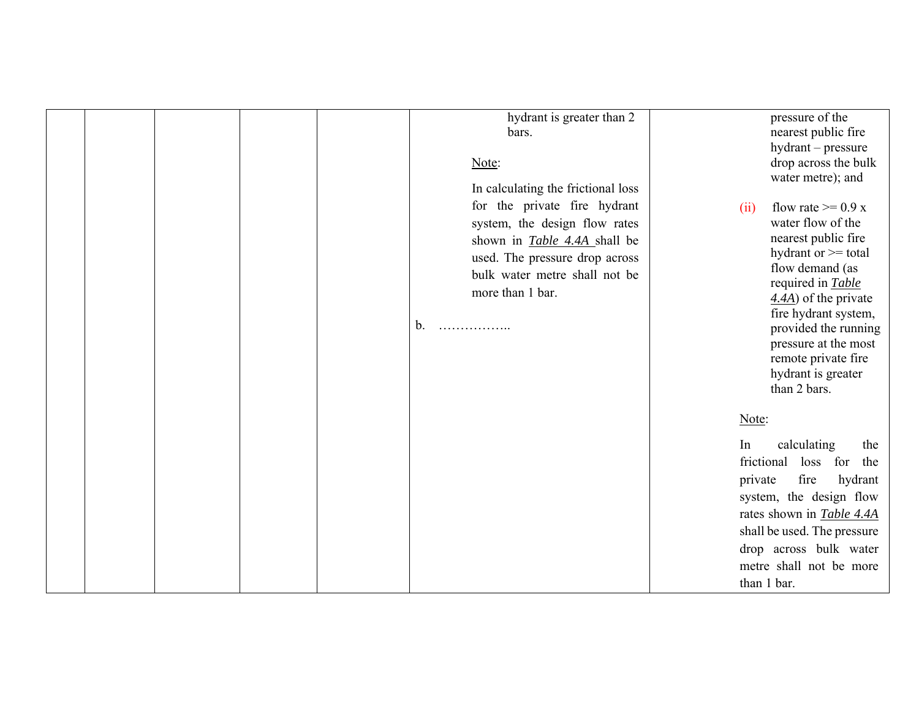|  |  | hydrant is greater than 2<br>bars.<br>Note:<br>In calculating the frictional loss                                                                                                                               |                             | pressure of the<br>nearest public fire<br>hydrant - pressure<br>drop across the bulk<br>water metre); and                                                                                                                                                                                                      |
|--|--|-----------------------------------------------------------------------------------------------------------------------------------------------------------------------------------------------------------------|-----------------------------|----------------------------------------------------------------------------------------------------------------------------------------------------------------------------------------------------------------------------------------------------------------------------------------------------------------|
|  |  | for the private fire hydrant<br>system, the design flow rates<br>shown in <i>Table 4.4A</i> shall be<br>used. The pressure drop across<br>bulk water metre shall not be<br>more than 1 bar.<br>b.<br>. <b>.</b> | (ii)                        | flow rate $>= 0.9 x$<br>water flow of the<br>nearest public fire<br>hydrant or >= total<br>flow demand (as<br>required in <b>Table</b><br>$\frac{4.4A}{2}$ of the private<br>fire hydrant system,<br>provided the running<br>pressure at the most<br>remote private fire<br>hydrant is greater<br>than 2 bars. |
|  |  |                                                                                                                                                                                                                 | Note:                       |                                                                                                                                                                                                                                                                                                                |
|  |  |                                                                                                                                                                                                                 | In<br>frictional<br>private | calculating<br>the<br>loss for<br>the<br>fire<br>hydrant<br>system, the design flow<br>rates shown in Table 4.4A<br>shall be used. The pressure<br>drop across bulk water<br>metre shall not be more<br>than 1 bar.                                                                                            |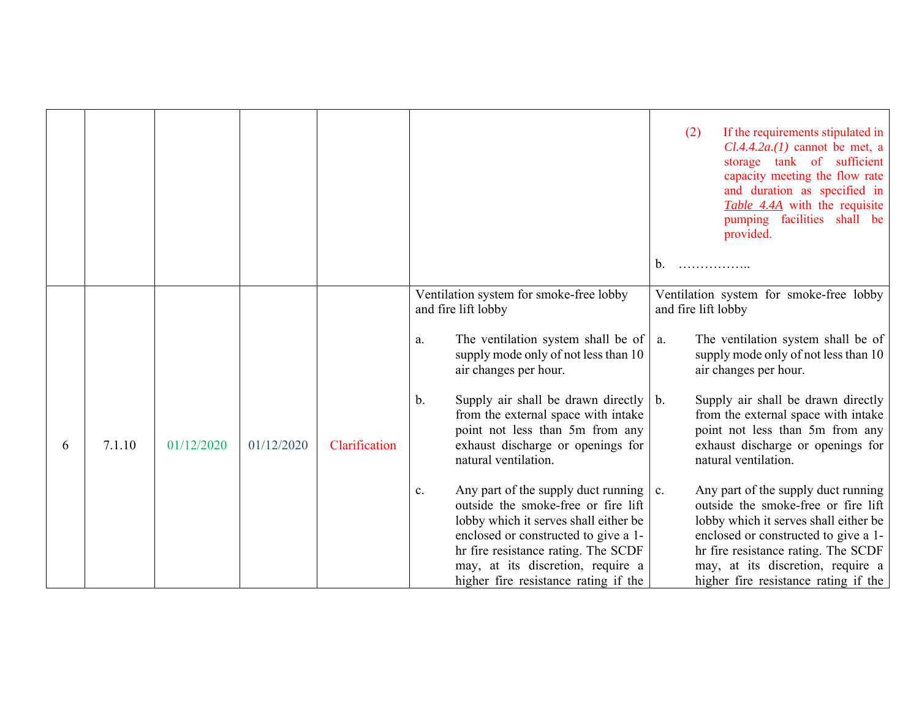|   |        |            |            |               |                                                                                                                                                                                                                                                                                                  | If the requirements stipulated in<br>(2)<br>$Cl.4.4.2a.(1)$ cannot be met, a<br>storage tank of sufficient<br>capacity meeting the flow rate<br>and duration as specified in<br>Table 4.4A with the requisite<br>pumping facilities shall be<br>provided.<br>b.                 |
|---|--------|------------|------------|---------------|--------------------------------------------------------------------------------------------------------------------------------------------------------------------------------------------------------------------------------------------------------------------------------------------------|---------------------------------------------------------------------------------------------------------------------------------------------------------------------------------------------------------------------------------------------------------------------------------|
|   |        |            |            |               | Ventilation system for smoke-free lobby<br>and fire lift lobby                                                                                                                                                                                                                                   | Ventilation system for smoke-free lobby<br>and fire lift lobby                                                                                                                                                                                                                  |
|   |        |            |            |               | The ventilation system shall be of<br>a.<br>supply mode only of not less than 10<br>air changes per hour.                                                                                                                                                                                        | The ventilation system shall be of<br>a.<br>supply mode only of not less than 10<br>air changes per hour.                                                                                                                                                                       |
| 6 | 7.1.10 | 01/12/2020 | 01/12/2020 | Clarification | Supply air shall be drawn directly $\vert b$ .<br>b.<br>from the external space with intake<br>point not less than 5m from any<br>exhaust discharge or openings for<br>natural ventilation.                                                                                                      | Supply air shall be drawn directly<br>from the external space with intake<br>point not less than 5m from any<br>exhaust discharge or openings for<br>natural ventilation.                                                                                                       |
|   |        |            |            |               | Any part of the supply duct running $\vert$ c.<br>c.<br>outside the smoke-free or fire lift<br>lobby which it serves shall either be<br>enclosed or constructed to give a 1-<br>hr fire resistance rating. The SCDF<br>may, at its discretion, require a<br>higher fire resistance rating if the | Any part of the supply duct running<br>outside the smoke-free or fire lift<br>lobby which it serves shall either be<br>enclosed or constructed to give a 1-<br>hr fire resistance rating. The SCDF<br>may, at its discretion, require a<br>higher fire resistance rating if the |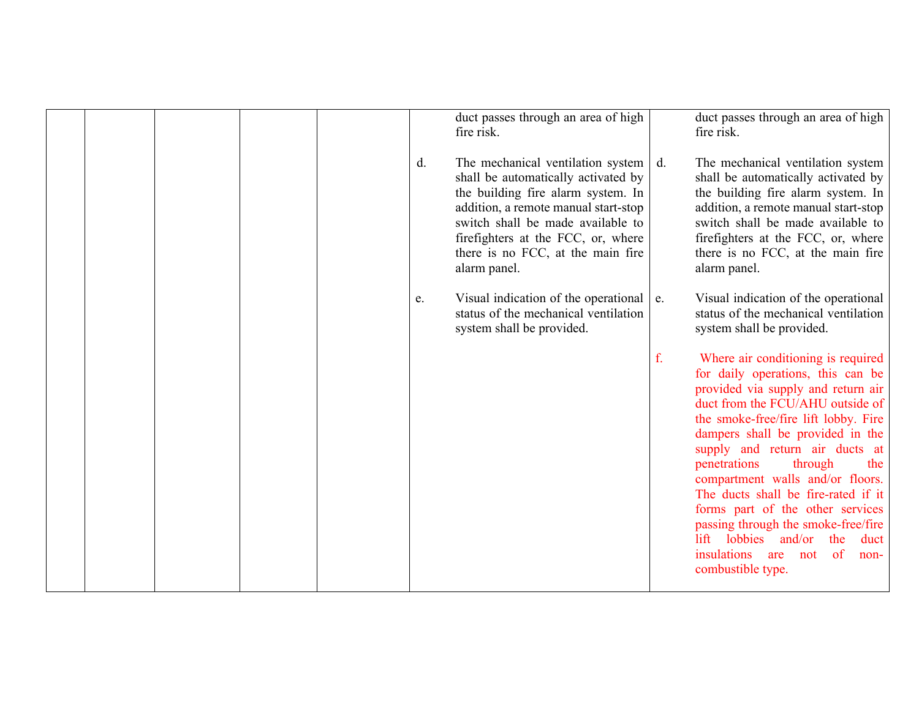|  |  |    | duct passes through an area of high<br>fire risk.                                                                                                                                                                                                                                      |    | duct passes through an area of high<br>fire risk.                                                                                                                                                                                                                                                                                                                                                                                                                                                                                                 |
|--|--|----|----------------------------------------------------------------------------------------------------------------------------------------------------------------------------------------------------------------------------------------------------------------------------------------|----|---------------------------------------------------------------------------------------------------------------------------------------------------------------------------------------------------------------------------------------------------------------------------------------------------------------------------------------------------------------------------------------------------------------------------------------------------------------------------------------------------------------------------------------------------|
|  |  | d. | The mechanical ventilation system<br>shall be automatically activated by<br>the building fire alarm system. In<br>addition, a remote manual start-stop<br>switch shall be made available to<br>firefighters at the FCC, or, where<br>there is no FCC, at the main fire<br>alarm panel. | d. | The mechanical ventilation system<br>shall be automatically activated by<br>the building fire alarm system. In<br>addition, a remote manual start-stop<br>switch shall be made available to<br>firefighters at the FCC, or, where<br>there is no FCC, at the main fire<br>alarm panel.                                                                                                                                                                                                                                                            |
|  |  | e. | Visual indication of the operational<br>status of the mechanical ventilation<br>system shall be provided.                                                                                                                                                                              | e. | Visual indication of the operational<br>status of the mechanical ventilation<br>system shall be provided.                                                                                                                                                                                                                                                                                                                                                                                                                                         |
|  |  |    |                                                                                                                                                                                                                                                                                        | f. | Where air conditioning is required<br>for daily operations, this can be<br>provided via supply and return air<br>duct from the FCU/AHU outside of<br>the smoke-free/fire lift lobby. Fire<br>dampers shall be provided in the<br>supply and return air ducts at<br>penetrations<br>through<br>the<br>compartment walls and/or floors.<br>The ducts shall be fire-rated if it<br>forms part of the other services<br>passing through the smoke-free/fire<br>lift lobbies and/or the<br>duct<br>insulations are not of<br>non-<br>combustible type. |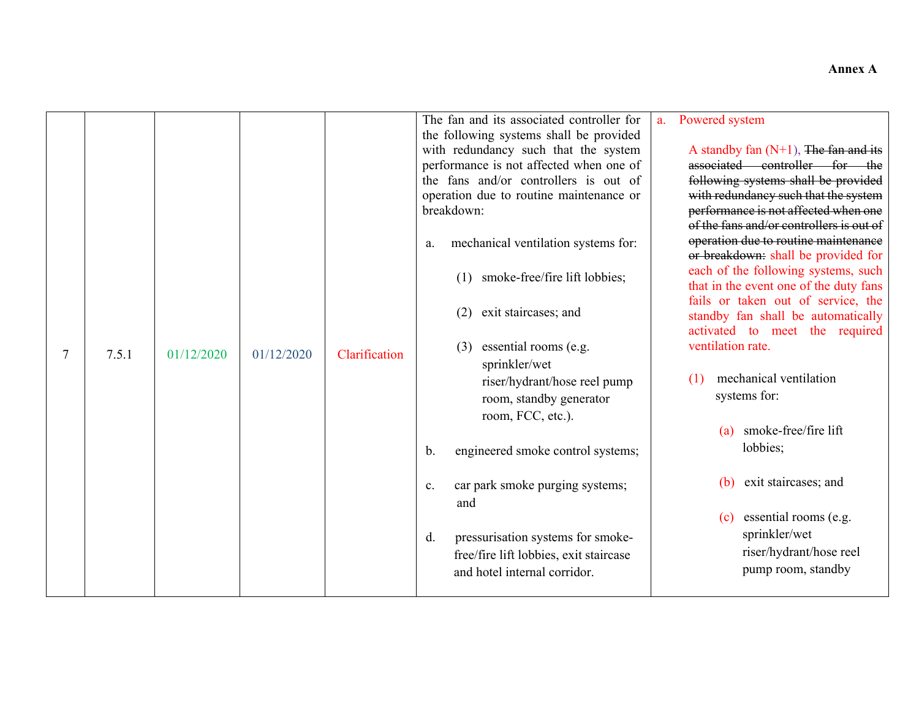|                |       |            |            |               | The fan and its associated controller for<br>the following systems shall be provided                                                                                                                                                                                                                  | Powered system<br>a <sub>1</sub>                                                                                                                                                                                                                                                                                                                                                                                                                                                        |
|----------------|-------|------------|------------|---------------|-------------------------------------------------------------------------------------------------------------------------------------------------------------------------------------------------------------------------------------------------------------------------------------------------------|-----------------------------------------------------------------------------------------------------------------------------------------------------------------------------------------------------------------------------------------------------------------------------------------------------------------------------------------------------------------------------------------------------------------------------------------------------------------------------------------|
|                |       |            |            |               | with redundancy such that the system<br>performance is not affected when one of<br>the fans and/or controllers is out of<br>operation due to routine maintenance or<br>breakdown:<br>mechanical ventilation systems for:<br>a.<br>smoke-free/fire lift lobbies;<br>(1)<br>exit staircases; and<br>(2) | A standby fan $(N+1)$ , The fan and its<br>associated controller for the<br>following systems shall be provided<br>with redundancy such that the system<br>performance is not affected when one<br>of the fans and/or controllers is out of<br>operation due to routine maintenance<br>or breakdown: shall be provided for<br>each of the following systems, such<br>that in the event one of the duty fans<br>fails or taken out of service, the<br>standby fan shall be automatically |
| $\overline{7}$ | 7.5.1 | 01/12/2020 | 01/12/2020 | Clarification | essential rooms (e.g.<br>(3)<br>sprinkler/wet<br>riser/hydrant/hose reel pump<br>room, standby generator<br>room, FCC, etc.).<br>engineered smoke control systems;<br>b.                                                                                                                              | activated to meet the required<br>ventilation rate.<br>mechanical ventilation<br>(1)<br>systems for:<br>smoke-free/fire lift<br>(a)<br>lobbies;                                                                                                                                                                                                                                                                                                                                         |
|                |       |            |            |               | car park smoke purging systems;<br>$\mathbf{c}$ .<br>and                                                                                                                                                                                                                                              | exit staircases; and<br>(b)                                                                                                                                                                                                                                                                                                                                                                                                                                                             |
|                |       |            |            |               | pressurisation systems for smoke-<br>d.<br>free/fire lift lobbies, exit staircase<br>and hotel internal corridor.                                                                                                                                                                                     | essential rooms (e.g.<br>(c)<br>sprinkler/wet<br>riser/hydrant/hose reel<br>pump room, standby                                                                                                                                                                                                                                                                                                                                                                                          |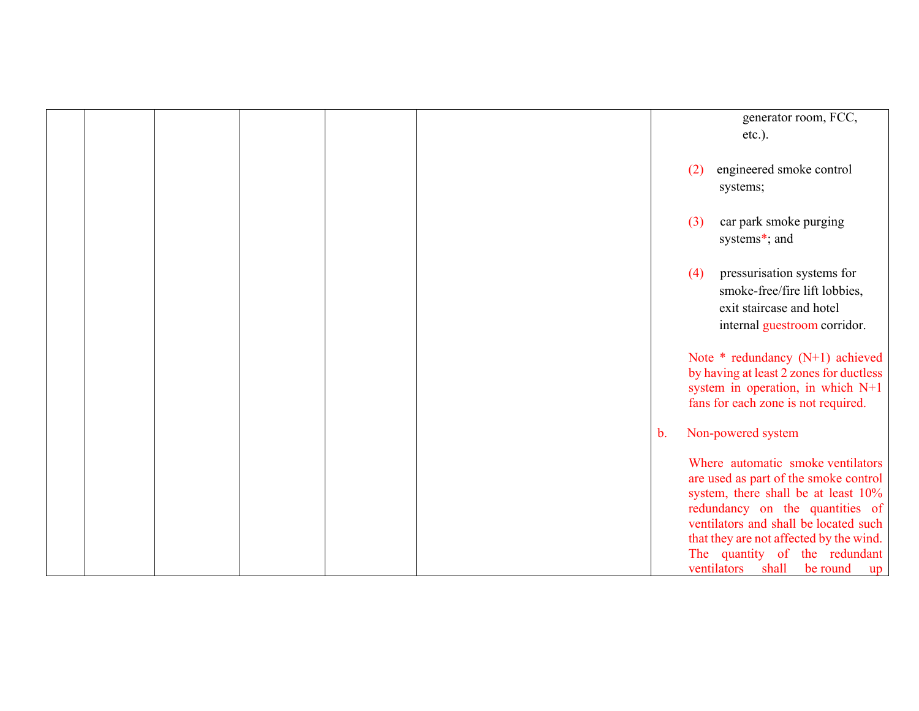|  |  |  |               | generator room, FCC,                    |
|--|--|--|---------------|-----------------------------------------|
|  |  |  |               | $etc.$ ).                               |
|  |  |  |               |                                         |
|  |  |  | (2)           | engineered smoke control                |
|  |  |  |               |                                         |
|  |  |  |               | systems;                                |
|  |  |  |               |                                         |
|  |  |  | (3)           | car park smoke purging                  |
|  |  |  |               | systems*; and                           |
|  |  |  |               |                                         |
|  |  |  | (4)           | pressurisation systems for              |
|  |  |  |               | smoke-free/fire lift lobbies,           |
|  |  |  |               |                                         |
|  |  |  |               | exit staircase and hotel                |
|  |  |  |               | internal guestroom corridor.            |
|  |  |  |               |                                         |
|  |  |  |               | Note $*$ redundancy (N+1) achieved      |
|  |  |  |               | by having at least 2 zones for ductless |
|  |  |  |               | system in operation, in which N+1       |
|  |  |  |               | fans for each zone is not required.     |
|  |  |  |               |                                         |
|  |  |  | $\mathbf b$ . | Non-powered system                      |
|  |  |  |               |                                         |
|  |  |  |               | Where automatic smoke ventilators       |
|  |  |  |               | are used as part of the smoke control   |
|  |  |  |               | system, there shall be at least 10%     |
|  |  |  |               | redundancy on the quantities of         |
|  |  |  |               | ventilators and shall be located such   |
|  |  |  |               | that they are not affected by the wind. |
|  |  |  |               | The quantity of the redundant           |
|  |  |  |               | ventilators shall be round<br>up        |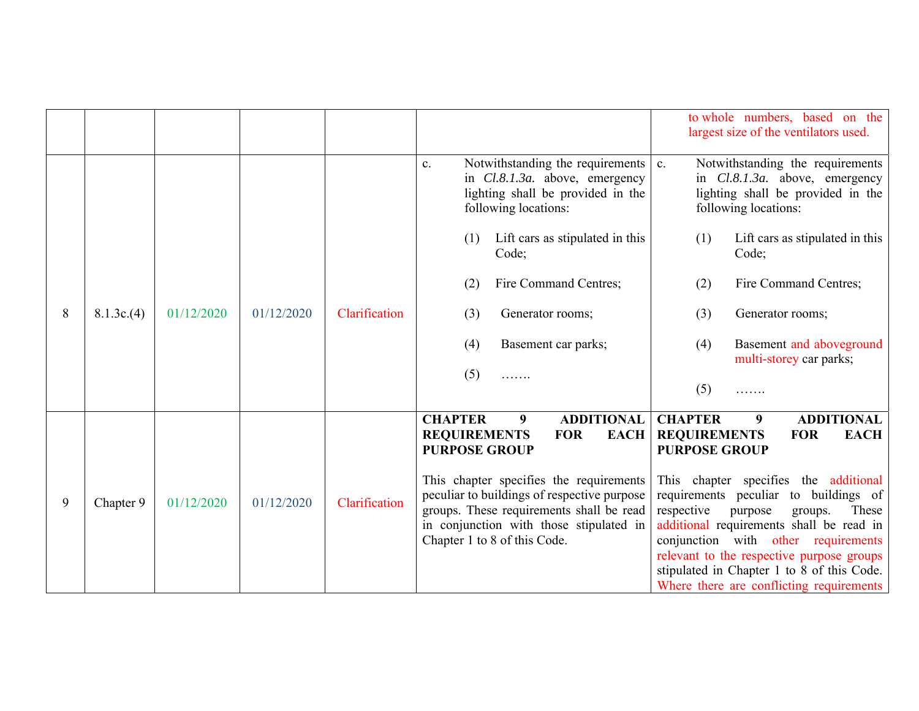|   |           |            |            |               |                                                                                                                                                                                                                                                                                                                                       | to whole numbers, based on the<br>largest size of the ventilators used.                                                                                                                                                                                                                                                                                                                                                                                                                    |  |  |
|---|-----------|------------|------------|---------------|---------------------------------------------------------------------------------------------------------------------------------------------------------------------------------------------------------------------------------------------------------------------------------------------------------------------------------------|--------------------------------------------------------------------------------------------------------------------------------------------------------------------------------------------------------------------------------------------------------------------------------------------------------------------------------------------------------------------------------------------------------------------------------------------------------------------------------------------|--|--|
|   |           |            |            |               | Notwithstanding the requirements<br>c.<br>in Cl.8.1.3a. above, emergency<br>lighting shall be provided in the<br>following locations:                                                                                                                                                                                                 | Notwithstanding the requirements<br>$\mathbf{c}$ .<br>in <i>Cl.8.1.3a</i> . above, emergency<br>lighting shall be provided in the<br>following locations:                                                                                                                                                                                                                                                                                                                                  |  |  |
|   |           |            |            |               | Lift cars as stipulated in this<br>(1)<br>Code;                                                                                                                                                                                                                                                                                       | (1)<br>Lift cars as stipulated in this<br>Code;                                                                                                                                                                                                                                                                                                                                                                                                                                            |  |  |
|   |           |            |            |               | Fire Command Centres;<br>(2)                                                                                                                                                                                                                                                                                                          | Fire Command Centres;<br>(2)                                                                                                                                                                                                                                                                                                                                                                                                                                                               |  |  |
| 8 | 8.1.3c(4) | 01/12/2020 | 01/12/2020 | Clarification | (3)<br>Generator rooms;                                                                                                                                                                                                                                                                                                               | (3)<br>Generator rooms;                                                                                                                                                                                                                                                                                                                                                                                                                                                                    |  |  |
|   |           |            |            |               | (4)<br>Basement car parks;                                                                                                                                                                                                                                                                                                            | Basement and aboveground<br>(4)<br>multi-storey car parks;                                                                                                                                                                                                                                                                                                                                                                                                                                 |  |  |
|   |           |            |            |               | (5)<br>.                                                                                                                                                                                                                                                                                                                              | (5)<br>.                                                                                                                                                                                                                                                                                                                                                                                                                                                                                   |  |  |
| 9 | Chapter 9 | 01/12/2020 | 01/12/2020 | Clarification | <b>CHAPTER</b><br><b>ADDITIONAL</b><br>9<br><b>REQUIREMENTS</b><br><b>FOR</b><br><b>EACH</b><br><b>PURPOSE GROUP</b><br>This chapter specifies the requirements<br>peculiar to buildings of respective purpose<br>groups. These requirements shall be read<br>in conjunction with those stipulated in<br>Chapter 1 to 8 of this Code. | <b>CHAPTER</b><br><b>ADDITIONAL</b><br>9 <sup>°</sup><br><b>REQUIREMENTS</b><br><b>FOR</b><br><b>EACH</b><br><b>PURPOSE GROUP</b><br>This chapter specifies the additional<br>requirements peculiar to buildings of<br>respective<br>purpose<br>groups.<br>These<br>additional requirements shall be read in<br>conjunction with other requirements<br>relevant to the respective purpose groups<br>stipulated in Chapter 1 to 8 of this Code.<br>Where there are conflicting requirements |  |  |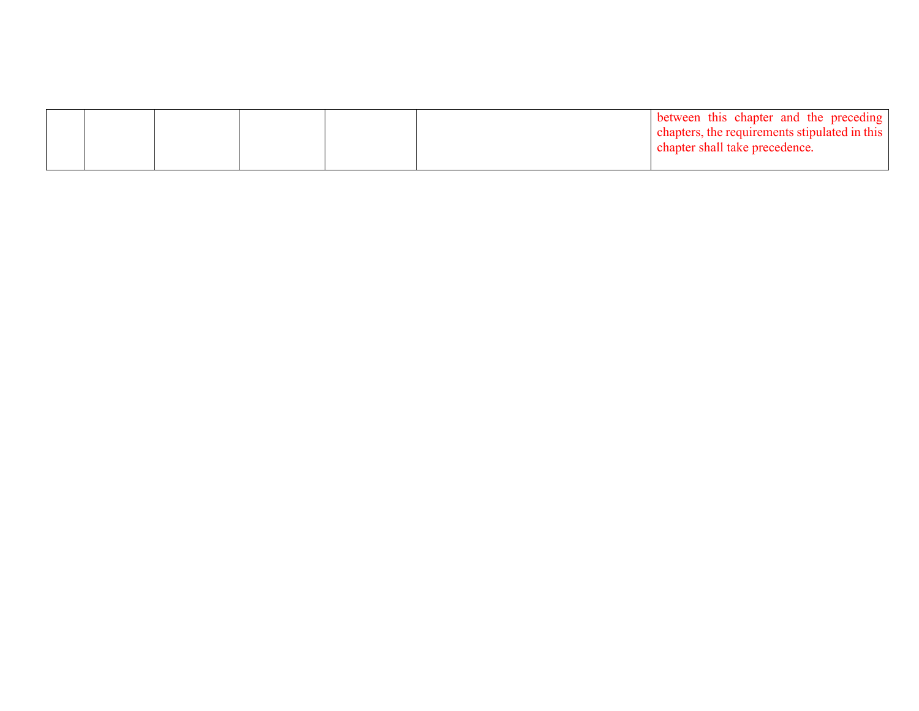|  |  |  | between this chapter and the preceding                                          |
|--|--|--|---------------------------------------------------------------------------------|
|  |  |  | chapters, the requirements stipulated in this<br>chapter shall take precedence. |
|  |  |  |                                                                                 |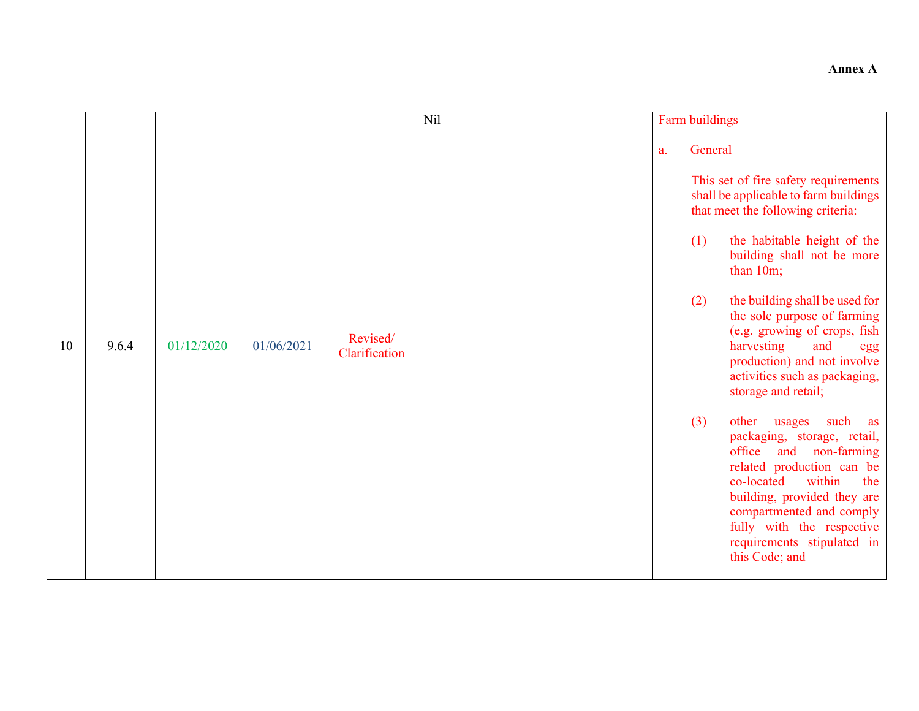#### **Annex A**

|    |       |            |            |                           | Nil | Farm buildings              |                                                                                                                                                                                                                                                                                                                                                                                                                  |
|----|-------|------------|------------|---------------------------|-----|-----------------------------|------------------------------------------------------------------------------------------------------------------------------------------------------------------------------------------------------------------------------------------------------------------------------------------------------------------------------------------------------------------------------------------------------------------|
| 10 | 9.6.4 | 01/12/2020 | 01/06/2021 | Revised/<br>Clarification |     | General<br>a.<br>(1)<br>(2) | This set of fire safety requirements<br>shall be applicable to farm buildings<br>that meet the following criteria:<br>the habitable height of the<br>building shall not be more<br>than 10m;<br>the building shall be used for<br>the sole purpose of farming<br>(e.g. growing of crops, fish<br>harvesting<br>and<br>egg<br>production) and not involve<br>activities such as packaging,<br>storage and retail; |
|    |       |            |            |                           |     | (3)                         | usages<br>such<br>other<br>as<br>packaging, storage, retail,<br>office and non-farming<br>related production can be<br>within<br>co-located<br>the<br>building, provided they are<br>compartmented and comply<br>fully with the respective<br>requirements stipulated in<br>this Code; and                                                                                                                       |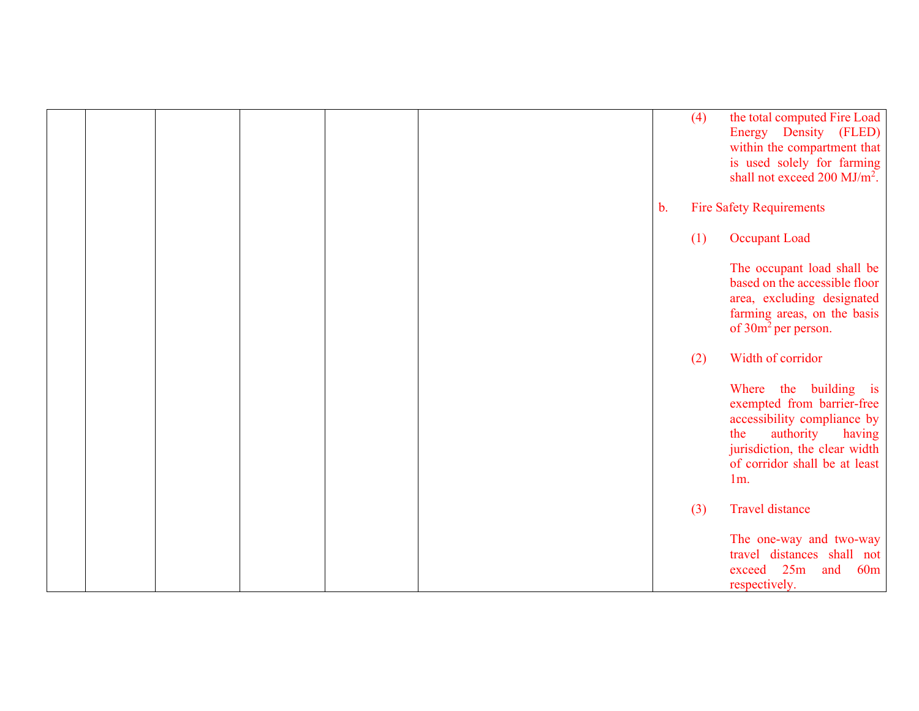|  |  |  |               | (4) | the total computed Fire Load<br>Energy Density (FLED)<br>within the compartment that<br>is used solely for farming<br>shall not exceed $200 \text{ MJ/m}^2$ .                                |
|--|--|--|---------------|-----|----------------------------------------------------------------------------------------------------------------------------------------------------------------------------------------------|
|  |  |  | $\mathbf b$ . |     | <b>Fire Safety Requirements</b>                                                                                                                                                              |
|  |  |  |               | (1) | <b>Occupant Load</b>                                                                                                                                                                         |
|  |  |  |               |     | The occupant load shall be<br>based on the accessible floor<br>area, excluding designated<br>farming areas, on the basis<br>of 30m <sup>2</sup> per person.                                  |
|  |  |  |               | (2) | Width of corridor                                                                                                                                                                            |
|  |  |  |               |     | Where the building is<br>exempted from barrier-free<br>accessibility compliance by<br>authority<br>having<br>the<br>jurisdiction, the clear width<br>of corridor shall be at least<br>$1m$ . |
|  |  |  |               | (3) | <b>Travel distance</b>                                                                                                                                                                       |
|  |  |  |               |     | The one-way and two-way<br>travel distances shall not<br>25m<br>and<br>60m<br>exceed<br>respectively.                                                                                        |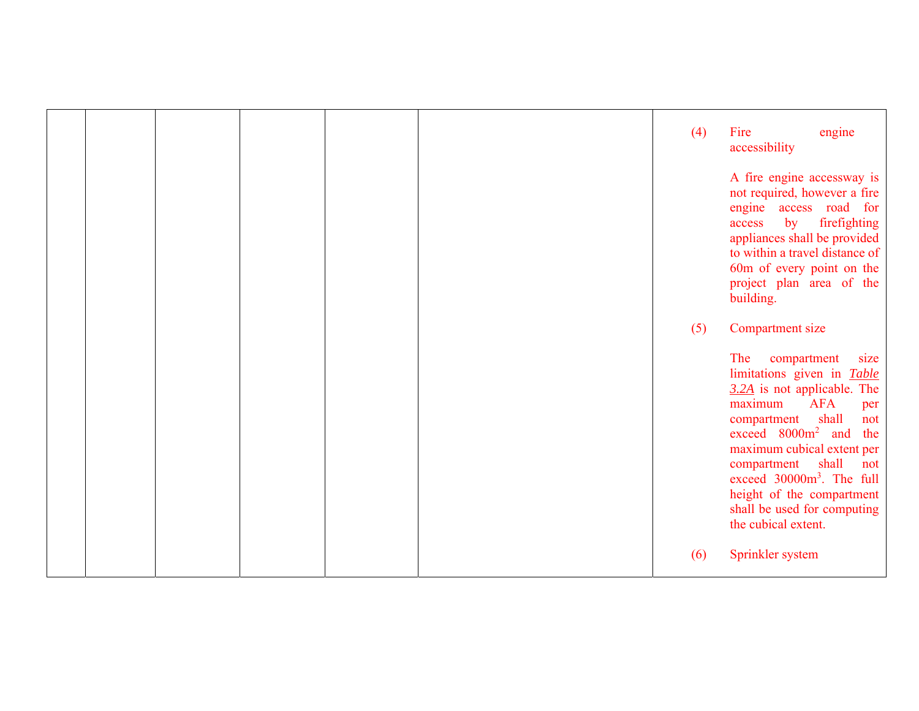|  |  |  |  | (4) | Fire<br>engine<br>accessibility                                                                                                                                                                                                                                                                                                                                                        |
|--|--|--|--|-----|----------------------------------------------------------------------------------------------------------------------------------------------------------------------------------------------------------------------------------------------------------------------------------------------------------------------------------------------------------------------------------------|
|  |  |  |  |     | A fire engine accessway is<br>not required, however a fire<br>engine access road<br>for<br>firefighting<br>by<br>access<br>appliances shall be provided<br>to within a travel distance of<br>60m of every point on the<br>project plan area of the<br>building.                                                                                                                        |
|  |  |  |  | (5) | Compartment size                                                                                                                                                                                                                                                                                                                                                                       |
|  |  |  |  |     | The<br>size<br>compartment<br>limitations given in Table<br>$3.2A$ is not applicable. The<br><b>AFA</b><br>maximum<br>per<br>shall<br>compartment<br>not<br>exceed 8000m <sup>2</sup> and<br>the<br>maximum cubical extent per<br>compartment shall<br>not<br>exceed 30000m <sup>3</sup> . The full<br>height of the compartment<br>shall be used for computing<br>the cubical extent. |
|  |  |  |  | (6) | Sprinkler system                                                                                                                                                                                                                                                                                                                                                                       |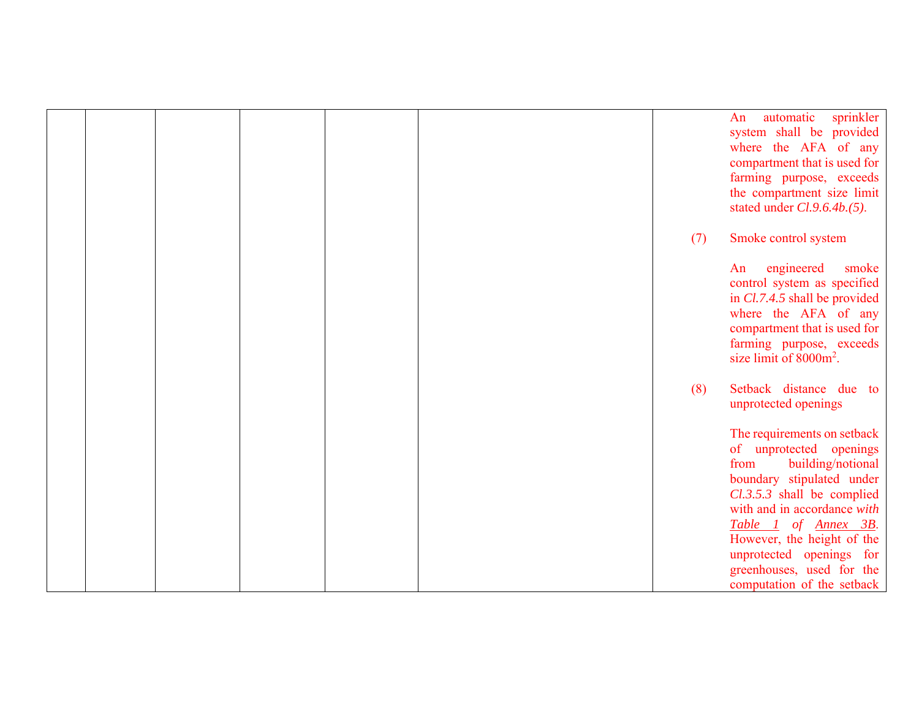|  |  |  |     | sprinkler<br>automatic<br>An<br>system shall be provided<br>where the AFA of any<br>compartment that is used for<br>farming purpose, exceeds<br>the compartment size limit<br>stated under <i>Cl.9.6.4b.</i> (5).                                                                                                          |
|--|--|--|-----|----------------------------------------------------------------------------------------------------------------------------------------------------------------------------------------------------------------------------------------------------------------------------------------------------------------------------|
|  |  |  | (7) | Smoke control system                                                                                                                                                                                                                                                                                                       |
|  |  |  |     | engineered<br>smoke<br>An<br>control system as specified<br>in Cl.7.4.5 shall be provided<br>where the AFA of any<br>compartment that is used for<br>farming purpose, exceeds<br>size limit of 8000m <sup>2</sup> .                                                                                                        |
|  |  |  | (8) | Setback distance due to<br>unprotected openings                                                                                                                                                                                                                                                                            |
|  |  |  |     | The requirements on setback<br>of unprotected openings<br>from<br>building/notional<br>boundary stipulated under<br>Cl.3.5.3 shall be complied<br>with and in accordance with<br>Table 1 of Annex 3B.<br>However, the height of the<br>unprotected openings for<br>greenhouses, used for the<br>computation of the setback |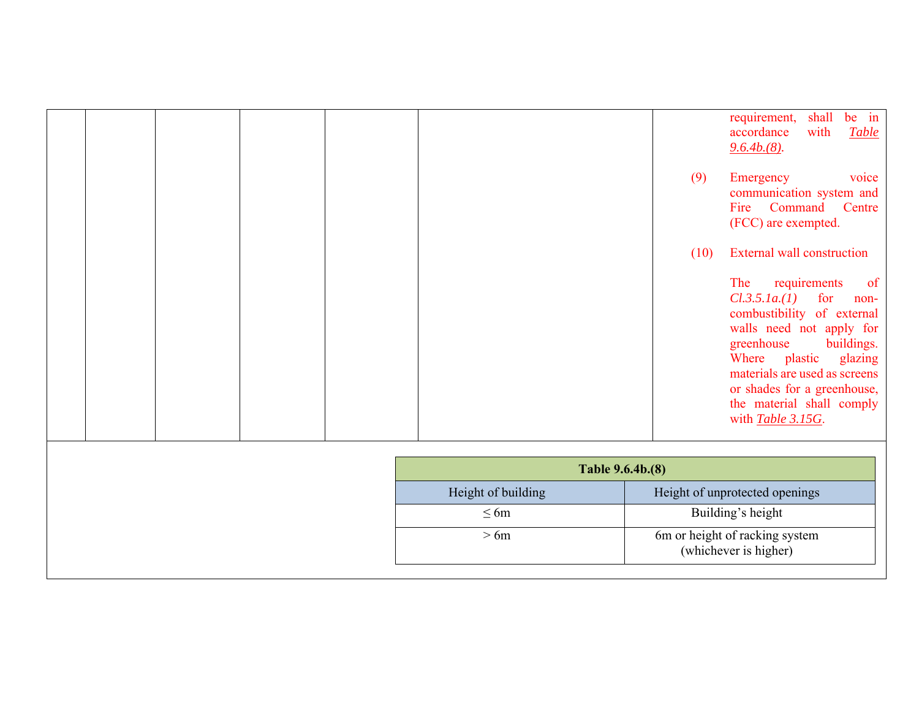|  |  |                    |      | be in<br>requirement,<br>shall<br>with<br><b>Table</b><br>accordance<br>$9.6.4b(8)$ .                                                                                                                                                                                                            |
|--|--|--------------------|------|--------------------------------------------------------------------------------------------------------------------------------------------------------------------------------------------------------------------------------------------------------------------------------------------------|
|  |  |                    | (9)  | voice<br>Emergency<br>communication system and<br>Fire Command<br>Centre<br>(FCC) are exempted.                                                                                                                                                                                                  |
|  |  |                    | (10) | <b>External wall construction</b>                                                                                                                                                                                                                                                                |
|  |  |                    |      | The<br>requirements<br>of<br>Cl.3.5.1a.(1)<br>for<br>non-<br>combustibility of external<br>walls need not apply for<br>greenhouse<br>buildings.<br>plastic<br>Where<br>glazing<br>materials are used as screens<br>or shades for a greenhouse,<br>the material shall comply<br>with Table 3.15G. |
|  |  | Table 9.6.4b.(8)   |      |                                                                                                                                                                                                                                                                                                  |
|  |  | Height of building |      | Height of unprotected openings                                                                                                                                                                                                                                                                   |
|  |  | $\leq 6m$          |      | Building's height                                                                                                                                                                                                                                                                                |

> 6m 6m or height of racking system

(whichever is higher)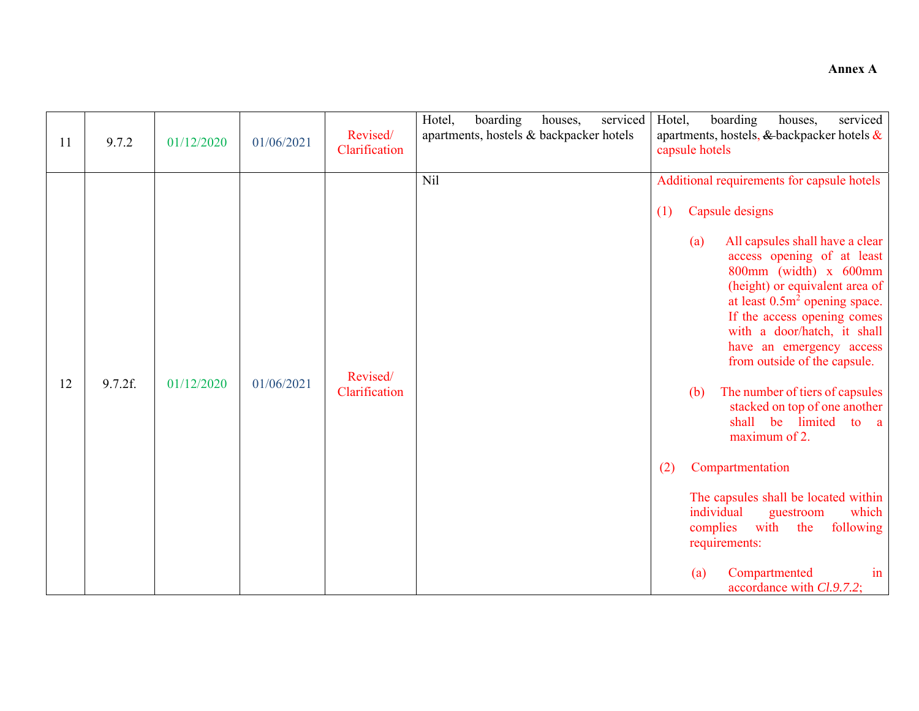| 11 | 9.7.2   | 01/12/2020 | 01/06/2021 | Revised/<br>Clarification | Hotel,<br>boarding<br>serviced<br>houses,<br>apartments, hostels & backpacker hotels | Hotel,<br>boarding<br>serviced<br>houses,<br>apartments, hostels, & backpacker hotels &<br>capsule hotels                                                                                                                                                                                                                                                                                                                                                                                                                                                                                                                                                                                                                  |
|----|---------|------------|------------|---------------------------|--------------------------------------------------------------------------------------|----------------------------------------------------------------------------------------------------------------------------------------------------------------------------------------------------------------------------------------------------------------------------------------------------------------------------------------------------------------------------------------------------------------------------------------------------------------------------------------------------------------------------------------------------------------------------------------------------------------------------------------------------------------------------------------------------------------------------|
| 12 | 9.7.2f. | 01/12/2020 | 01/06/2021 | Revised/<br>Clarification | Nil                                                                                  | Additional requirements for capsule hotels<br>Capsule designs<br>(1)<br>All capsules shall have a clear<br>(a)<br>access opening of at least<br>800mm (width) x 600mm<br>(height) or equivalent area of<br>at least $0.5m2$ opening space.<br>If the access opening comes<br>with a door/hatch, it shall<br>have an emergency access<br>from outside of the capsule.<br>The number of tiers of capsules<br>(b)<br>stacked on top of one another<br>shall be<br>limited<br>to a<br>maximum of 2.<br>Compartmentation<br>(2)<br>The capsules shall be located within<br>individual<br>which<br>guestroom<br>following<br>complies<br>with<br>the<br>requirements:<br>Compartmented<br>(a)<br>in<br>accordance with Cl.9.7.2; |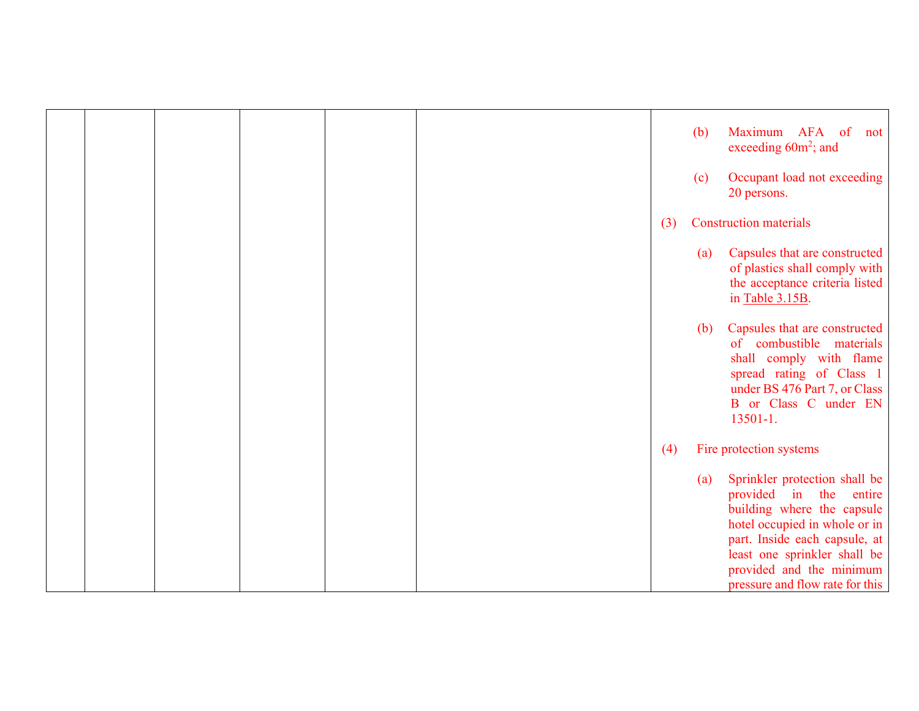|  |  |  |  |  |     | (b) | Maximum AFA of not<br>exceeding 60m <sup>2</sup> ; and                                                                                                                                                                                                    |
|--|--|--|--|--|-----|-----|-----------------------------------------------------------------------------------------------------------------------------------------------------------------------------------------------------------------------------------------------------------|
|  |  |  |  |  |     | (c) | Occupant load not exceeding<br>20 persons.                                                                                                                                                                                                                |
|  |  |  |  |  | (3) |     | <b>Construction materials</b>                                                                                                                                                                                                                             |
|  |  |  |  |  |     | (a) | Capsules that are constructed<br>of plastics shall comply with<br>the acceptance criteria listed<br>in Table 3.15B.                                                                                                                                       |
|  |  |  |  |  |     | (b) | Capsules that are constructed<br>of combustible materials<br>shall comply with flame<br>spread rating of Class 1<br>under BS 476 Part 7, or Class<br>B or Class C under EN<br>$13501 - 1.$                                                                |
|  |  |  |  |  | (4) |     | Fire protection systems                                                                                                                                                                                                                                   |
|  |  |  |  |  |     | (a) | Sprinkler protection shall be<br>provided in the<br>entire<br>building where the capsule<br>hotel occupied in whole or in<br>part. Inside each capsule, at<br>least one sprinkler shall be<br>provided and the minimum<br>pressure and flow rate for this |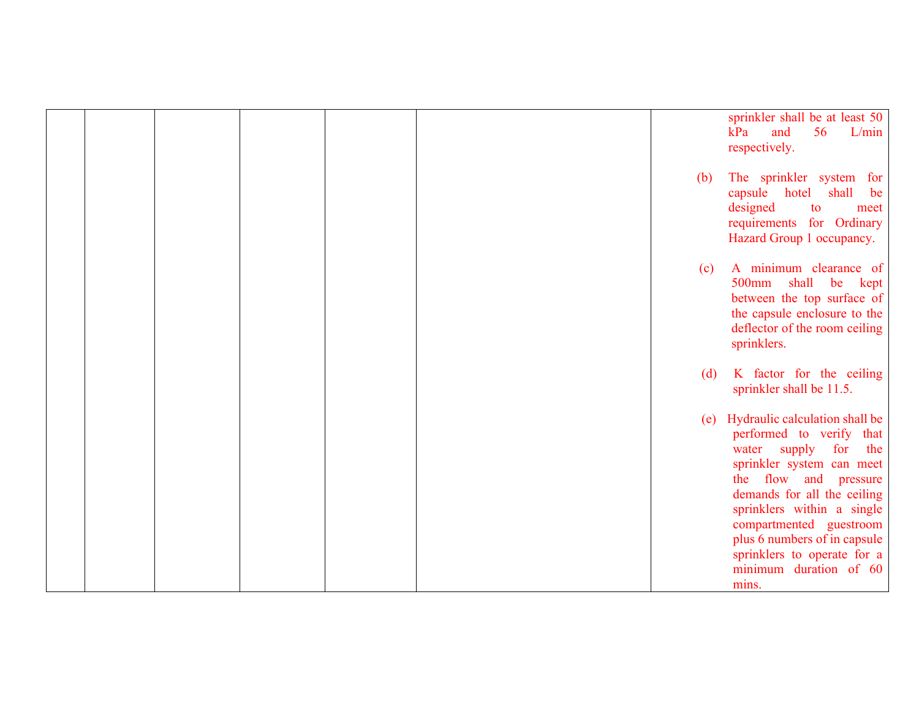|  |  |  |     | sprinkler shall be at least 50<br>kPa<br>and<br>56<br>L/min<br>respectively.                                                                                                                                                                                                                                                             |
|--|--|--|-----|------------------------------------------------------------------------------------------------------------------------------------------------------------------------------------------------------------------------------------------------------------------------------------------------------------------------------------------|
|  |  |  | (b) | The sprinkler system for<br>capsule hotel<br>shall<br>be<br>designed<br>to<br>meet<br>requirements for Ordinary<br>Hazard Group 1 occupancy.                                                                                                                                                                                             |
|  |  |  | (c) | A minimum clearance of<br>500mm<br>shall be kept<br>between the top surface of<br>the capsule enclosure to the<br>deflector of the room ceiling<br>sprinklers.                                                                                                                                                                           |
|  |  |  | (d) | K factor for the ceiling<br>sprinkler shall be 11.5.                                                                                                                                                                                                                                                                                     |
|  |  |  | (e) | Hydraulic calculation shall be<br>performed to verify that<br>supply for<br>the<br>water<br>sprinkler system can meet<br>the flow and pressure<br>demands for all the ceiling<br>sprinklers within a single<br>compartmented guestroom<br>plus 6 numbers of in capsule<br>sprinklers to operate for a<br>minimum duration of 60<br>mins. |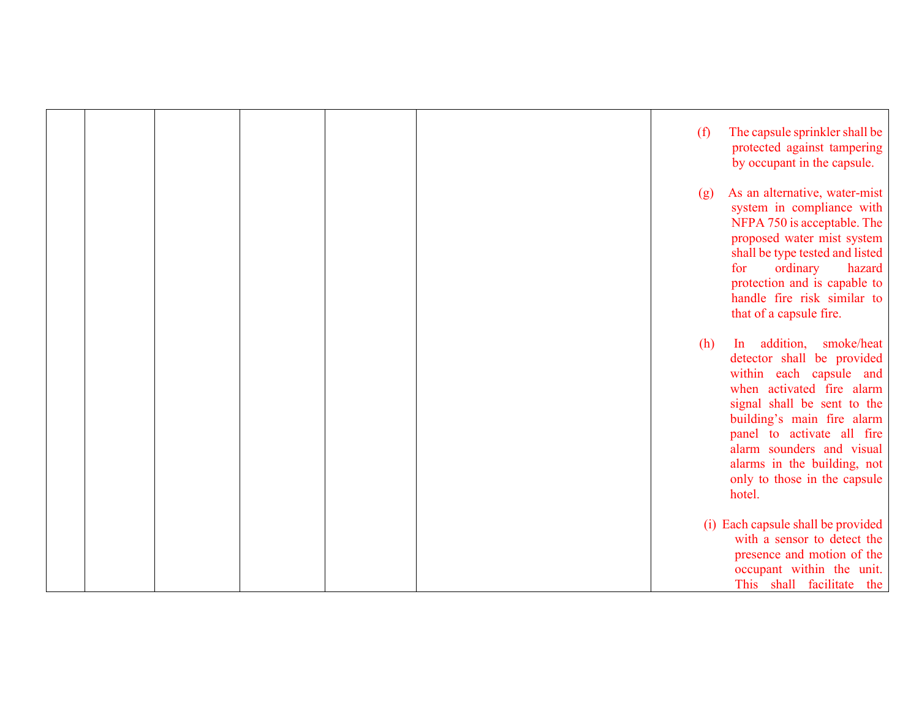|  |  |  | (f) | The capsule sprinkler shall be<br>protected against tampering<br>by occupant in the capsule.                                                                                                                                                                                                                      |
|--|--|--|-----|-------------------------------------------------------------------------------------------------------------------------------------------------------------------------------------------------------------------------------------------------------------------------------------------------------------------|
|  |  |  | (g) | As an alternative, water-mist<br>system in compliance with<br>NFPA 750 is acceptable. The<br>proposed water mist system<br>shall be type tested and listed<br>ordinary<br>hazard<br>for<br>protection and is capable to<br>handle fire risk similar to<br>that of a capsule fire.                                 |
|  |  |  | (h) | In addition,<br>smoke/heat<br>detector shall be provided<br>within each capsule and<br>when activated fire alarm<br>signal shall be sent to the<br>building's main fire alarm<br>panel to activate all fire<br>alarm sounders and visual<br>alarms in the building, not<br>only to those in the capsule<br>hotel. |
|  |  |  |     | (i) Each capsule shall be provided<br>with a sensor to detect the<br>presence and motion of the<br>occupant within the unit.<br>This shall facilitate the                                                                                                                                                         |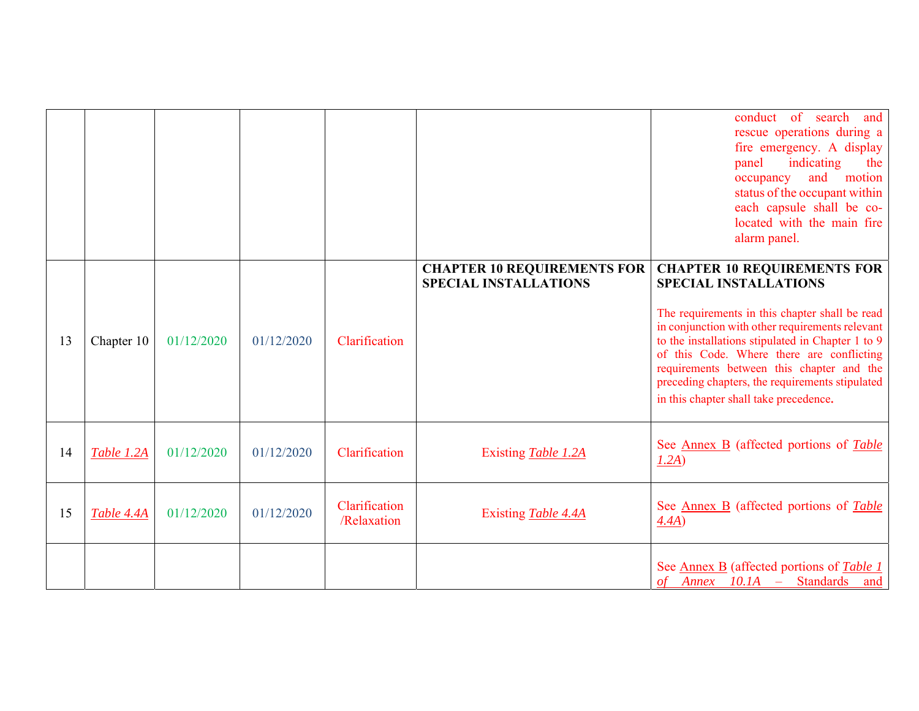|    |            |            |            |                              |                                                                    | conduct of search<br>and<br>rescue operations during a<br>fire emergency. A display<br>indicating<br>panel<br>the<br>and motion<br>occupancy<br>status of the occupant within<br>each capsule shall be co-<br>located with the main fire<br>alarm panel.                                                                                                                                                            |
|----|------------|------------|------------|------------------------------|--------------------------------------------------------------------|---------------------------------------------------------------------------------------------------------------------------------------------------------------------------------------------------------------------------------------------------------------------------------------------------------------------------------------------------------------------------------------------------------------------|
| 13 | Chapter 10 | 01/12/2020 | 01/12/2020 | Clarification                | <b>CHAPTER 10 REQUIREMENTS FOR</b><br><b>SPECIAL INSTALLATIONS</b> | <b>CHAPTER 10 REQUIREMENTS FOR</b><br><b>SPECIAL INSTALLATIONS</b><br>The requirements in this chapter shall be read<br>in conjunction with other requirements relevant<br>to the installations stipulated in Chapter 1 to 9<br>of this Code. Where there are conflicting<br>requirements between this chapter and the<br>preceding chapters, the requirements stipulated<br>in this chapter shall take precedence. |
| 14 | Table 1.2A | 01/12/2020 | 01/12/2020 | Clarification                | Existing Table 1.2A                                                | See Annex B (affected portions of Table<br>1.2A)                                                                                                                                                                                                                                                                                                                                                                    |
| 15 | Table 4.4A | 01/12/2020 | 01/12/2020 | Clarification<br>/Relaxation | Existing Table 4.4A                                                | See <u>Annex B</u> (affected portions of <i>Table</i><br>4.4A)                                                                                                                                                                                                                                                                                                                                                      |
|    |            |            |            |                              |                                                                    | See <u>Annex B</u> (affected portions of <i>Table 1</i><br>of Annex 10.1A - Standards and                                                                                                                                                                                                                                                                                                                           |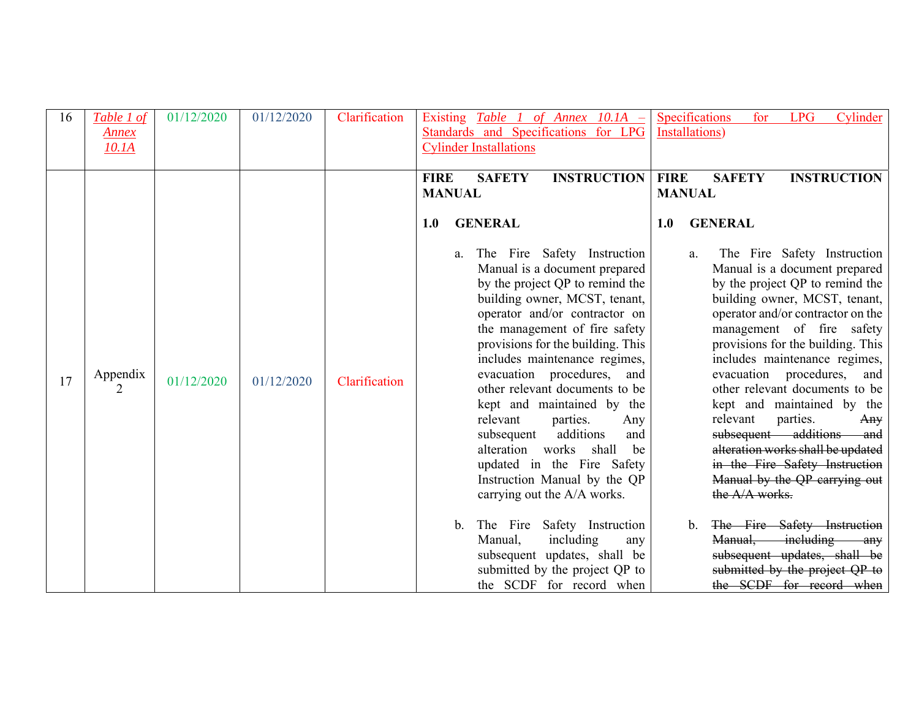| 16 | Table 1 of    | 01/12/2020 | 01/12/2020 | Clarification | Specifications<br>Cylinder<br>Existing Table 1 of Annex $10.1A -$<br><b>LPG</b><br>for                                                                                                                                                                                                                                                                                                                                                                                                                                                                                                                                                                                                                                                                                                                                                                                                                                                                                                                                                                                                                                                                                                                                                                                                                                                                                                                                                                                                                                          |
|----|---------------|------------|------------|---------------|---------------------------------------------------------------------------------------------------------------------------------------------------------------------------------------------------------------------------------------------------------------------------------------------------------------------------------------------------------------------------------------------------------------------------------------------------------------------------------------------------------------------------------------------------------------------------------------------------------------------------------------------------------------------------------------------------------------------------------------------------------------------------------------------------------------------------------------------------------------------------------------------------------------------------------------------------------------------------------------------------------------------------------------------------------------------------------------------------------------------------------------------------------------------------------------------------------------------------------------------------------------------------------------------------------------------------------------------------------------------------------------------------------------------------------------------------------------------------------------------------------------------------------|
|    | <u>Annex</u>  |            |            |               | Standards and Specifications for LPG<br>Installations)                                                                                                                                                                                                                                                                                                                                                                                                                                                                                                                                                                                                                                                                                                                                                                                                                                                                                                                                                                                                                                                                                                                                                                                                                                                                                                                                                                                                                                                                          |
|    | 10.1A         |            |            |               | <b>Cylinder Installations</b>                                                                                                                                                                                                                                                                                                                                                                                                                                                                                                                                                                                                                                                                                                                                                                                                                                                                                                                                                                                                                                                                                                                                                                                                                                                                                                                                                                                                                                                                                                   |
|    |               |            |            |               | <b>SAFETY</b><br><b>INSTRUCTION</b><br><b>FIRE</b><br><b>SAFETY</b><br><b>INSTRUCTION</b><br><b>FIRE</b>                                                                                                                                                                                                                                                                                                                                                                                                                                                                                                                                                                                                                                                                                                                                                                                                                                                                                                                                                                                                                                                                                                                                                                                                                                                                                                                                                                                                                        |
|    |               |            |            |               | <b>MANUAL</b><br><b>MANUAL</b>                                                                                                                                                                                                                                                                                                                                                                                                                                                                                                                                                                                                                                                                                                                                                                                                                                                                                                                                                                                                                                                                                                                                                                                                                                                                                                                                                                                                                                                                                                  |
|    |               |            |            |               |                                                                                                                                                                                                                                                                                                                                                                                                                                                                                                                                                                                                                                                                                                                                                                                                                                                                                                                                                                                                                                                                                                                                                                                                                                                                                                                                                                                                                                                                                                                                 |
|    |               |            |            |               | <b>GENERAL</b><br><b>GENERAL</b><br>1.0<br>1.0                                                                                                                                                                                                                                                                                                                                                                                                                                                                                                                                                                                                                                                                                                                                                                                                                                                                                                                                                                                                                                                                                                                                                                                                                                                                                                                                                                                                                                                                                  |
| 17 | Appendix<br>2 | 01/12/2020 | 01/12/2020 | Clarification | The Fire Safety Instruction<br>The Fire Safety Instruction<br>a.<br>a.<br>Manual is a document prepared<br>Manual is a document prepared<br>by the project QP to remind the<br>by the project QP to remind the<br>building owner, MCST, tenant,<br>building owner, MCST, tenant,<br>operator and/or contractor on<br>operator and/or contractor on the<br>the management of fire safety<br>management of fire safety<br>provisions for the building. This<br>provisions for the building. This<br>includes maintenance regimes,<br>includes maintenance regimes,<br>evacuation procedures, and<br>evacuation procedures, and<br>other relevant documents to be<br>other relevant documents to be<br>kept and maintained by the<br>kept and maintained by the<br>relevant<br>parties.<br>relevant<br>parties.<br>Any<br>$\text{Any}$<br>subsequent additions and<br>subsequent additions<br>and<br>alteration works shall be updated<br>alteration works<br>shall<br>be<br>in the Fire Safety Instruction<br>updated in the Fire Safety<br>Manual by the QP carrying out<br>Instruction Manual by the QP<br>the A/A works.<br>carrying out the A/A works.<br>The Fire Safety Instruction<br>The Fire Safety Instruction<br>$\mathbf{b}$ .<br>$\mathbf{b}$ .<br>Manual, including<br>Manual,<br>including<br>any<br>$\frac{1}{2}$ any<br>subsequent updates, shall be<br>subsequent updates, shall be<br>submitted by the project QP to<br>submitted by the project QP to<br>the SCDF for record when<br>the SCDF for record when |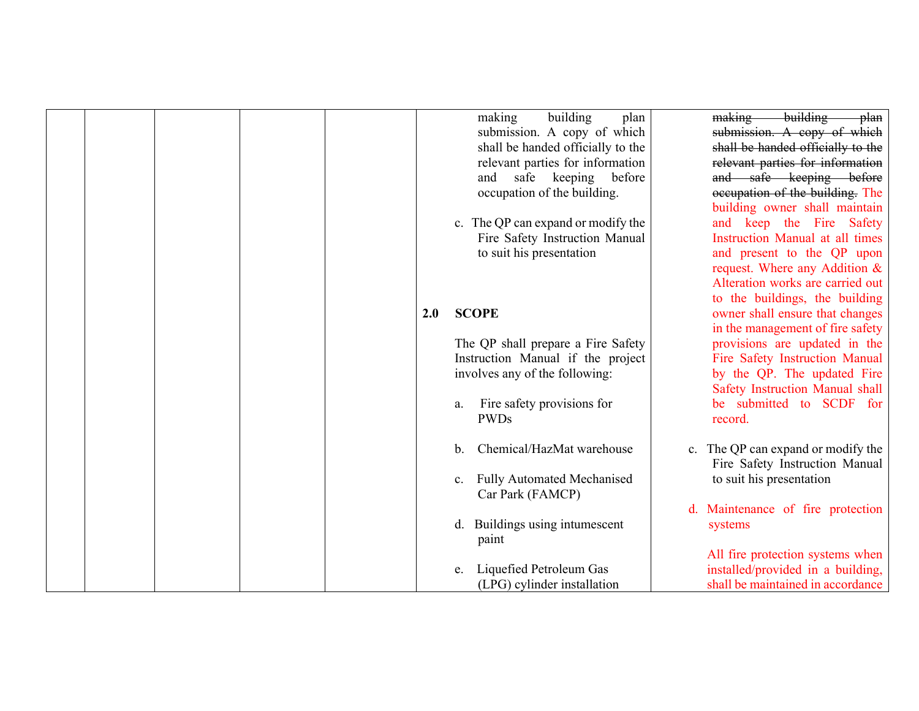|  |  |     | building<br>making<br>plan         | building<br>making<br><del>plan</del> |
|--|--|-----|------------------------------------|---------------------------------------|
|  |  |     | submission. A copy of which        | submission. A copy of which           |
|  |  |     | shall be handed officially to the  | shall be handed officially to the     |
|  |  |     | relevant parties for information   | relevant parties for information      |
|  |  |     | and safe keeping before            | and safe keeping before               |
|  |  |     | occupation of the building.        | occupation of the building. The       |
|  |  |     |                                    | building owner shall maintain         |
|  |  |     | c. The QP can expand or modify the | and keep the Fire Safety              |
|  |  |     | Fire Safety Instruction Manual     | Instruction Manual at all times       |
|  |  |     | to suit his presentation           | and present to the QP upon            |
|  |  |     |                                    | request. Where any Addition &         |
|  |  |     |                                    | Alteration works are carried out      |
|  |  |     |                                    | to the buildings, the building        |
|  |  | 2.0 | <b>SCOPE</b>                       | owner shall ensure that changes       |
|  |  |     |                                    | in the management of fire safety      |
|  |  |     | The QP shall prepare a Fire Safety | provisions are updated in the         |
|  |  |     | Instruction Manual if the project  | Fire Safety Instruction Manual        |
|  |  |     | involves any of the following:     | by the QP. The updated Fire           |
|  |  |     |                                    | Safety Instruction Manual shall       |
|  |  |     | Fire safety provisions for<br>a.   | be submitted to SCDF for              |
|  |  |     | <b>PWDs</b>                        | record.                               |
|  |  |     |                                    |                                       |
|  |  |     | Chemical/HazMat warehouse<br>b.    | c. The QP can expand or modify the    |
|  |  |     |                                    | Fire Safety Instruction Manual        |
|  |  |     | c. Fully Automated Mechanised      | to suit his presentation              |
|  |  |     | Car Park (FAMCP)                   |                                       |
|  |  |     |                                    | d. Maintenance of fire protection     |
|  |  |     | Buildings using intumescent<br>d.  | systems                               |
|  |  |     | paint                              |                                       |
|  |  |     |                                    | All fire protection systems when      |
|  |  |     | Liquefied Petroleum Gas<br>e.      | installed/provided in a building,     |
|  |  |     | (LPG) cylinder installation        | shall be maintained in accordance     |
|  |  |     |                                    |                                       |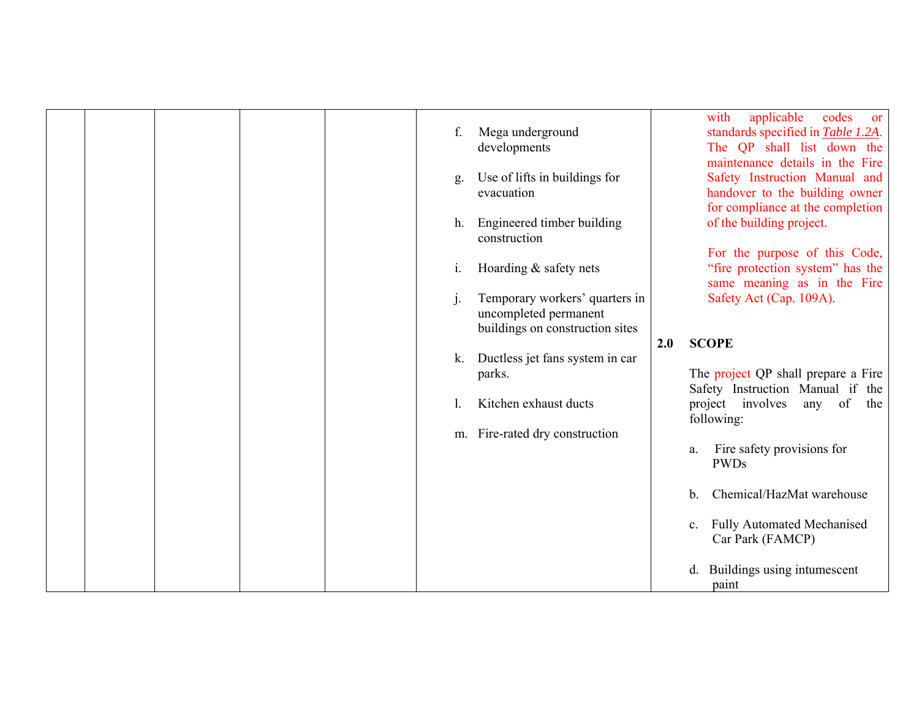|  |  | f. | Mega underground<br>developments                                                           |     | applicable<br>with<br>codes<br><sub>or</sub><br>standards specified in Table 1.2A.<br>The QP shall list down the<br>maintenance details in the Fire |
|--|--|----|--------------------------------------------------------------------------------------------|-----|-----------------------------------------------------------------------------------------------------------------------------------------------------|
|  |  | g. | Use of lifts in buildings for<br>evacuation                                                |     | Safety Instruction Manual and<br>handover to the building owner<br>for compliance at the completion                                                 |
|  |  | h. | Engineered timber building<br>construction                                                 |     | of the building project.<br>For the purpose of this Code,                                                                                           |
|  |  | i. | Hoarding & safety nets                                                                     |     | "fire protection system" has the<br>same meaning as in the Fire                                                                                     |
|  |  |    | Temporary workers' quarters in<br>uncompleted permanent<br>buildings on construction sites |     | Safety Act (Cap. 109A).                                                                                                                             |
|  |  |    |                                                                                            | 2.0 | <b>SCOPE</b>                                                                                                                                        |
|  |  | k. | Ductless jet fans system in car<br>parks.                                                  |     | The project QP shall prepare a Fire                                                                                                                 |
|  |  |    |                                                                                            |     | Safety Instruction Manual if the                                                                                                                    |
|  |  |    | Kitchen exhaust ducts                                                                      |     | project involves<br>any of<br>the<br>following:                                                                                                     |
|  |  |    | m. Fire-rated dry construction                                                             |     |                                                                                                                                                     |
|  |  |    |                                                                                            |     | Fire safety provisions for<br>a.<br><b>PWDs</b>                                                                                                     |
|  |  |    |                                                                                            |     | Chemical/HazMat warehouse<br>b.                                                                                                                     |
|  |  |    |                                                                                            |     | <b>Fully Automated Mechanised</b><br>$c_{\cdot}$<br>Car Park (FAMCP)                                                                                |
|  |  |    |                                                                                            |     | Buildings using intumescent<br>d.<br>paint                                                                                                          |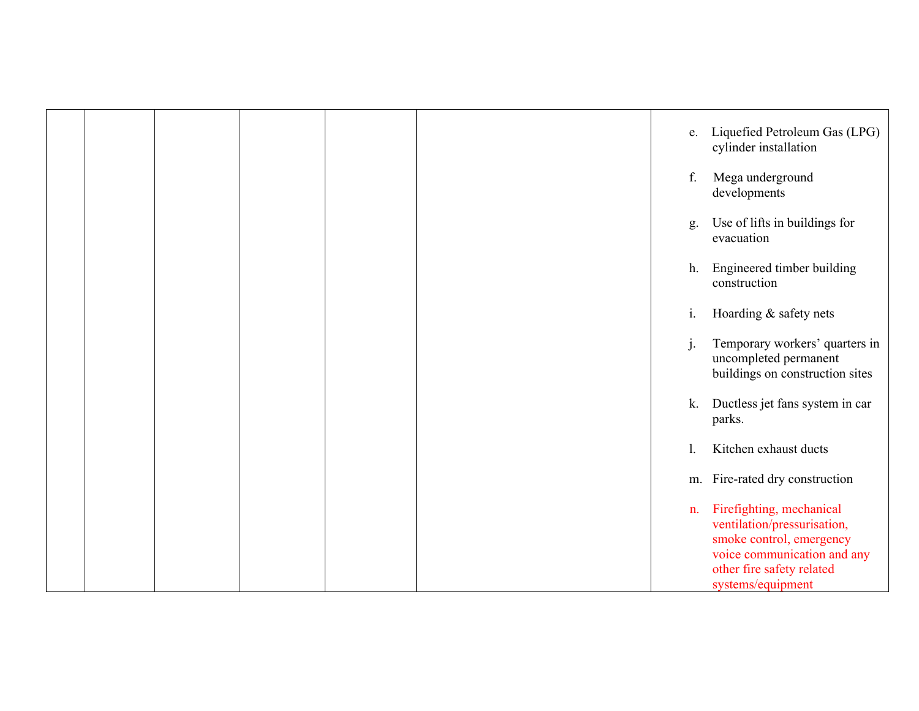|  |  |  | e.    | Liquefied Petroleum Gas (LPG)<br>cylinder installation                                                                                                               |
|--|--|--|-------|----------------------------------------------------------------------------------------------------------------------------------------------------------------------|
|  |  |  | f.    | Mega underground<br>developments                                                                                                                                     |
|  |  |  | g.    | Use of lifts in buildings for<br>evacuation                                                                                                                          |
|  |  |  | h.    | Engineered timber building<br>construction                                                                                                                           |
|  |  |  | $i$ . | Hoarding & safety nets                                                                                                                                               |
|  |  |  | j.    | Temporary workers' quarters in<br>uncompleted permanent<br>buildings on construction sites                                                                           |
|  |  |  | k.    | Ductless jet fans system in car<br>parks.                                                                                                                            |
|  |  |  | 1.    | Kitchen exhaust ducts                                                                                                                                                |
|  |  |  | m.    | Fire-rated dry construction                                                                                                                                          |
|  |  |  | n.    | Firefighting, mechanical<br>ventilation/pressurisation,<br>smoke control, emergency<br>voice communication and any<br>other fire safety related<br>systems/equipment |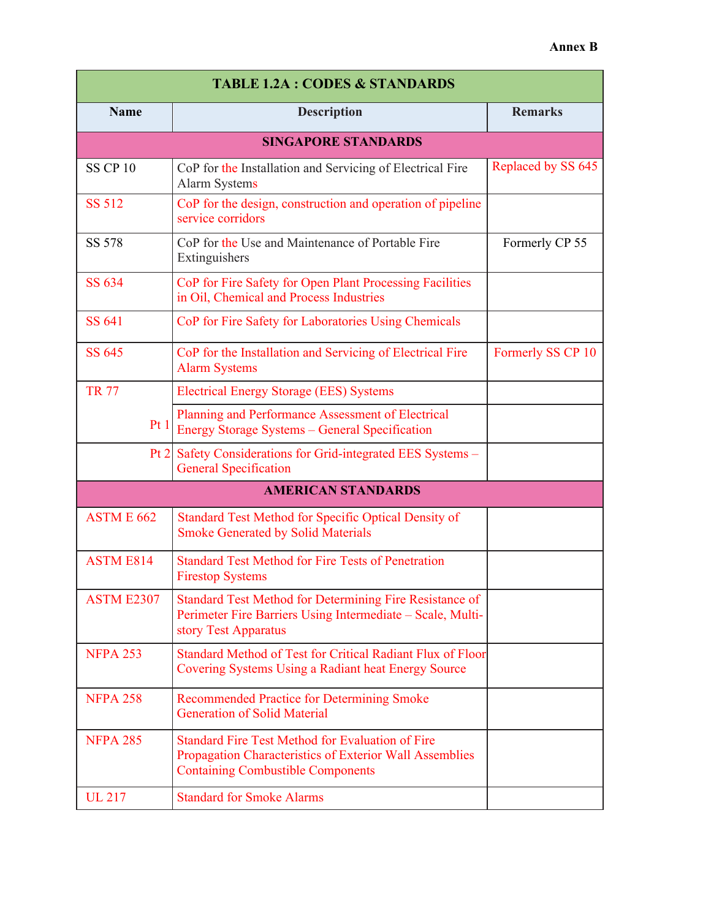| <b>TABLE 1.2A : CODES &amp; STANDARDS</b> |                                                                                                                                                                |                    |  |  |  |  |  |
|-------------------------------------------|----------------------------------------------------------------------------------------------------------------------------------------------------------------|--------------------|--|--|--|--|--|
| <b>Name</b>                               | <b>Description</b>                                                                                                                                             | <b>Remarks</b>     |  |  |  |  |  |
|                                           | <b>SINGAPORE STANDARDS</b>                                                                                                                                     |                    |  |  |  |  |  |
| <b>SS CP 10</b>                           | CoP for the Installation and Servicing of Electrical Fire<br><b>Alarm Systems</b>                                                                              | Replaced by SS 645 |  |  |  |  |  |
| <b>SS 512</b>                             | CoP for the design, construction and operation of pipeline<br>service corridors                                                                                |                    |  |  |  |  |  |
| SS 578                                    | CoP for the Use and Maintenance of Portable Fire<br>Extinguishers                                                                                              | Formerly CP 55     |  |  |  |  |  |
| SS 634                                    | CoP for Fire Safety for Open Plant Processing Facilities<br>in Oil, Chemical and Process Industries                                                            |                    |  |  |  |  |  |
| SS 641                                    | CoP for Fire Safety for Laboratories Using Chemicals                                                                                                           |                    |  |  |  |  |  |
| SS 645                                    | CoP for the Installation and Servicing of Electrical Fire<br><b>Alarm Systems</b>                                                                              | Formerly SS CP 10  |  |  |  |  |  |
| <b>TR 77</b>                              | <b>Electrical Energy Storage (EES) Systems</b>                                                                                                                 |                    |  |  |  |  |  |
| Pt 1                                      | Planning and Performance Assessment of Electrical<br>Energy Storage Systems - General Specification                                                            |                    |  |  |  |  |  |
| Pt 2                                      | Safety Considerations for Grid-integrated EES Systems -<br><b>General Specification</b>                                                                        |                    |  |  |  |  |  |
|                                           | <b>AMERICAN STANDARDS</b>                                                                                                                                      |                    |  |  |  |  |  |
| ASTME 662                                 | Standard Test Method for Specific Optical Density of<br><b>Smoke Generated by Solid Materials</b>                                                              |                    |  |  |  |  |  |
| <b>ASTM E814</b>                          | <b>Standard Test Method for Fire Tests of Penetration</b><br><b>Firestop Systems</b>                                                                           |                    |  |  |  |  |  |
| <b>ASTM E2307</b>                         | Standard Test Method for Determining Fire Resistance of<br>Perimeter Fire Barriers Using Intermediate - Scale, Multi-<br>story Test Apparatus                  |                    |  |  |  |  |  |
| <b>NFPA 253</b>                           | Standard Method of Test for Critical Radiant Flux of Floor<br>Covering Systems Using a Radiant heat Energy Source                                              |                    |  |  |  |  |  |
| <b>NFPA 258</b>                           | <b>Recommended Practice for Determining Smoke</b><br><b>Generation of Solid Material</b>                                                                       |                    |  |  |  |  |  |
| <b>NFPA 285</b>                           | <b>Standard Fire Test Method for Evaluation of Fire</b><br>Propagation Characteristics of Exterior Wall Assemblies<br><b>Containing Combustible Components</b> |                    |  |  |  |  |  |
| <b>UL 217</b>                             | <b>Standard for Smoke Alarms</b>                                                                                                                               |                    |  |  |  |  |  |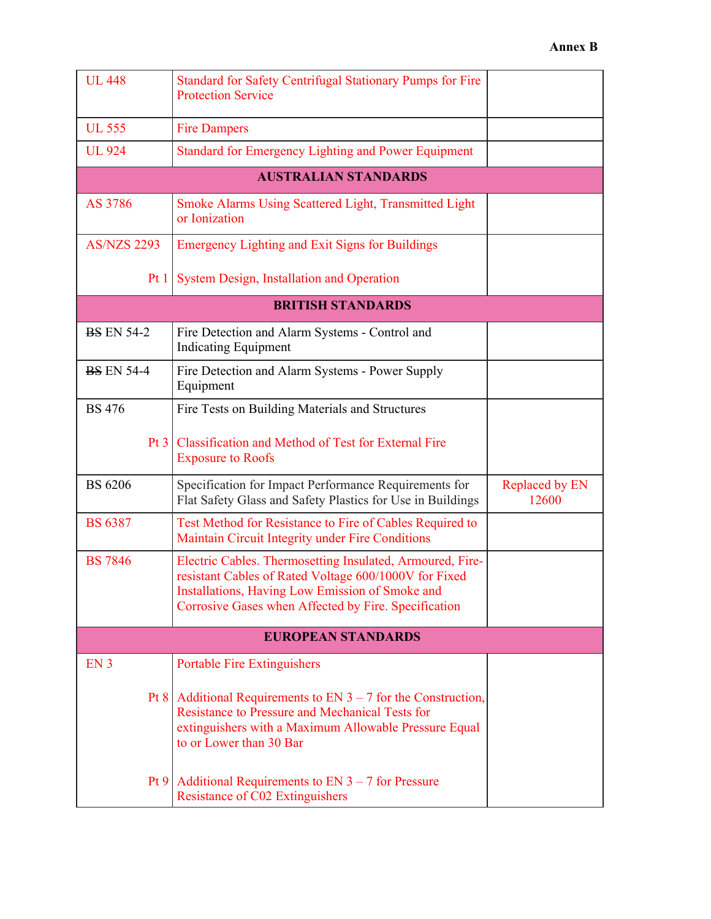| <b>UL 448</b>             | <b>Standard for Safety Centrifugal Stationary Pumps for Fire</b><br><b>Protection Service</b>                                                                                                                                 |                         |  |  |  |
|---------------------------|-------------------------------------------------------------------------------------------------------------------------------------------------------------------------------------------------------------------------------|-------------------------|--|--|--|
| <b>UL 555</b>             | <b>Fire Dampers</b>                                                                                                                                                                                                           |                         |  |  |  |
| <b>UL 924</b>             | <b>Standard for Emergency Lighting and Power Equipment</b>                                                                                                                                                                    |                         |  |  |  |
|                           | <b>AUSTRALIAN STANDARDS</b>                                                                                                                                                                                                   |                         |  |  |  |
| AS 3786                   | Smoke Alarms Using Scattered Light, Transmitted Light<br>or Ionization                                                                                                                                                        |                         |  |  |  |
| <b>AS/NZS 2293</b>        | <b>Emergency Lighting and Exit Signs for Buildings</b>                                                                                                                                                                        |                         |  |  |  |
| Pt1                       | <b>System Design, Installation and Operation</b>                                                                                                                                                                              |                         |  |  |  |
|                           | <b>BRITISH STANDARDS</b>                                                                                                                                                                                                      |                         |  |  |  |
| <b>BS EN 54-2</b>         | Fire Detection and Alarm Systems - Control and<br><b>Indicating Equipment</b>                                                                                                                                                 |                         |  |  |  |
| <b>BS EN 54-4</b>         | Fire Detection and Alarm Systems - Power Supply<br>Equipment                                                                                                                                                                  |                         |  |  |  |
| <b>BS</b> 476             | Fire Tests on Building Materials and Structures                                                                                                                                                                               |                         |  |  |  |
|                           | Pt 3   Classification and Method of Test for External Fire<br><b>Exposure to Roofs</b>                                                                                                                                        |                         |  |  |  |
| <b>BS 6206</b>            | Specification for Impact Performance Requirements for<br>Flat Safety Glass and Safety Plastics for Use in Buildings                                                                                                           | Replaced by EN<br>12600 |  |  |  |
| <b>BS 6387</b>            | Test Method for Resistance to Fire of Cables Required to<br>Maintain Circuit Integrity under Fire Conditions                                                                                                                  |                         |  |  |  |
| <b>BS</b> 7846            | Electric Cables. Thermosetting Insulated, Armoured, Fire-<br>resistant Cables of Rated Voltage 600/1000V for Fixed<br>Installations, Having Low Emission of Smoke and<br>Corrosive Gases when Affected by Fire. Specification |                         |  |  |  |
| <b>EUROPEAN STANDARDS</b> |                                                                                                                                                                                                                               |                         |  |  |  |
| EN <sub>3</sub>           | <b>Portable Fire Extinguishers</b>                                                                                                                                                                                            |                         |  |  |  |
|                           | Pt 8   Additional Requirements to EN $3 - 7$ for the Construction,<br><b>Resistance to Pressure and Mechanical Tests for</b><br>extinguishers with a Maximum Allowable Pressure Equal<br>to or Lower than 30 Bar              |                         |  |  |  |
|                           | Pt 9   Additional Requirements to EN $3 - 7$ for Pressure<br><b>Resistance of C02 Extinguishers</b>                                                                                                                           |                         |  |  |  |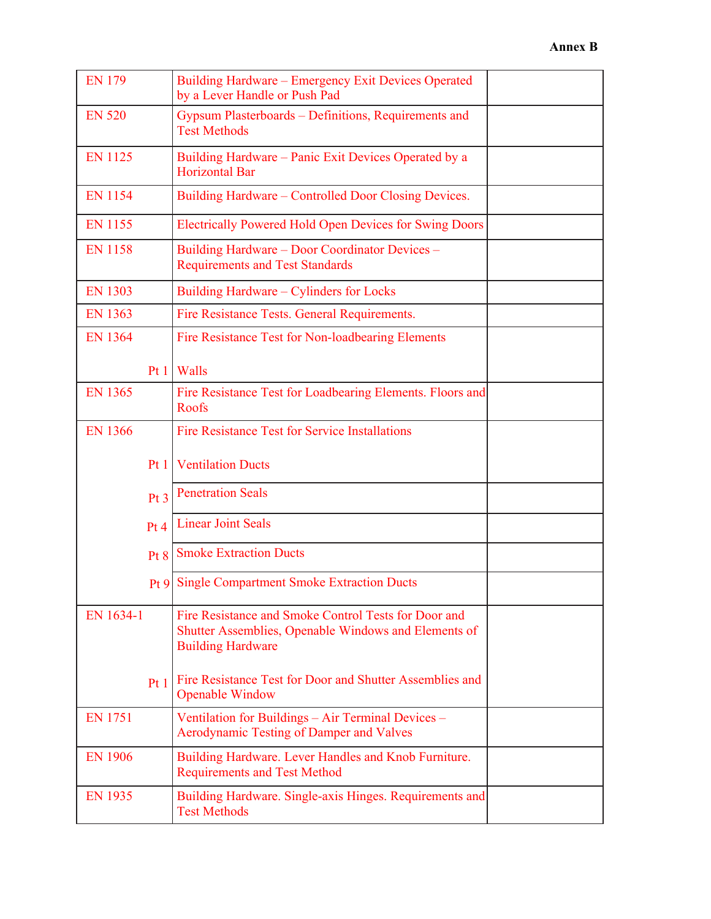| <b>EN 179</b>   | Building Hardware - Emergency Exit Devices Operated<br>by a Lever Handle or Push Pad                                                     |  |
|-----------------|------------------------------------------------------------------------------------------------------------------------------------------|--|
| <b>EN 520</b>   | Gypsum Plasterboards – Definitions, Requirements and<br><b>Test Methods</b>                                                              |  |
| <b>EN 1125</b>  | Building Hardware – Panic Exit Devices Operated by a<br><b>Horizontal Bar</b>                                                            |  |
| <b>EN 1154</b>  | Building Hardware – Controlled Door Closing Devices.                                                                                     |  |
| <b>EN 1155</b>  | Electrically Powered Hold Open Devices for Swing Doors                                                                                   |  |
| <b>EN 1158</b>  | Building Hardware - Door Coordinator Devices -<br><b>Requirements and Test Standards</b>                                                 |  |
| <b>EN 1303</b>  | Building Hardware - Cylinders for Locks                                                                                                  |  |
| <b>EN 1363</b>  | Fire Resistance Tests. General Requirements.                                                                                             |  |
| <b>EN 1364</b>  | Fire Resistance Test for Non-loadbearing Elements                                                                                        |  |
|                 | Pt $1$   Walls                                                                                                                           |  |
| <b>EN 1365</b>  | Fire Resistance Test for Loadbearing Elements. Floors and<br>Roofs                                                                       |  |
| <b>EN 1366</b>  | <b>Fire Resistance Test for Service Installations</b>                                                                                    |  |
| Pt1             | <b>Ventilation Ducts</b>                                                                                                                 |  |
| Pt <sub>3</sub> | <b>Penetration Seals</b>                                                                                                                 |  |
| Pt <sub>4</sub> | <b>Linear Joint Seals</b>                                                                                                                |  |
| Pt 8            | <b>Smoke Extraction Ducts</b>                                                                                                            |  |
|                 | <b>Pt 9 Single Compartment Smoke Extraction Ducts</b>                                                                                    |  |
| EN 1634-1       | Fire Resistance and Smoke Control Tests for Door and<br>Shutter Assemblies, Openable Windows and Elements of<br><b>Building Hardware</b> |  |
| Pt1             | Fire Resistance Test for Door and Shutter Assemblies and<br><b>Openable Window</b>                                                       |  |
| <b>EN 1751</b>  | Ventilation for Buildings - Air Terminal Devices -<br>Aerodynamic Testing of Damper and Valves                                           |  |
| <b>EN 1906</b>  | Building Hardware. Lever Handles and Knob Furniture.<br><b>Requirements and Test Method</b>                                              |  |
| <b>EN 1935</b>  | Building Hardware. Single-axis Hinges. Requirements and<br><b>Test Methods</b>                                                           |  |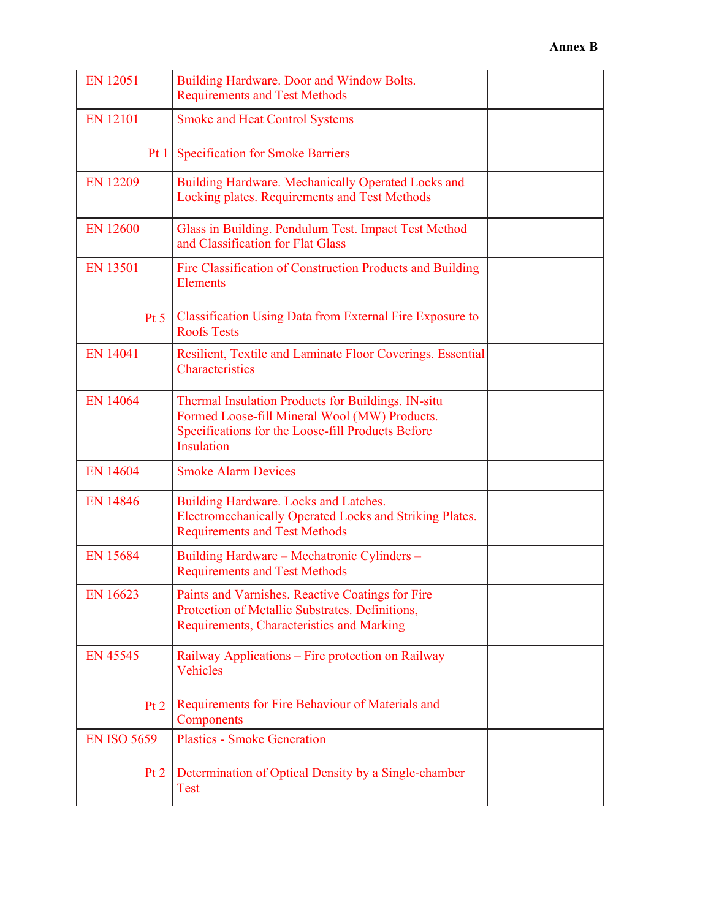| <b>EN 12051</b>    | Building Hardware. Door and Window Bolts.<br><b>Requirements and Test Methods</b>                                                                                             |
|--------------------|-------------------------------------------------------------------------------------------------------------------------------------------------------------------------------|
| <b>EN 12101</b>    | <b>Smoke and Heat Control Systems</b>                                                                                                                                         |
| Pt1                | <b>Specification for Smoke Barriers</b>                                                                                                                                       |
| <b>EN 12209</b>    | Building Hardware. Mechanically Operated Locks and<br>Locking plates. Requirements and Test Methods                                                                           |
| <b>EN 12600</b>    | Glass in Building. Pendulum Test. Impact Test Method<br>and Classification for Flat Glass                                                                                     |
| <b>EN 13501</b>    | Fire Classification of Construction Products and Building<br><b>Elements</b>                                                                                                  |
| Pt 5               | Classification Using Data from External Fire Exposure to<br><b>Roofs Tests</b>                                                                                                |
| <b>EN 14041</b>    | Resilient, Textile and Laminate Floor Coverings. Essential<br>Characteristics                                                                                                 |
| <b>EN 14064</b>    | Thermal Insulation Products for Buildings. IN-situ<br>Formed Loose-fill Mineral Wool (MW) Products.<br>Specifications for the Loose-fill Products Before<br><b>Insulation</b> |
| <b>EN 14604</b>    | <b>Smoke Alarm Devices</b>                                                                                                                                                    |
| <b>EN 14846</b>    | Building Hardware. Locks and Latches.<br>Electromechanically Operated Locks and Striking Plates.<br><b>Requirements and Test Methods</b>                                      |
| <b>EN 15684</b>    | Building Hardware - Mechatronic Cylinders -<br><b>Requirements and Test Methods</b>                                                                                           |
| EN 16623           | Paints and Varnishes. Reactive Coatings for Fire<br>Protection of Metallic Substrates. Definitions,<br>Requirements, Characteristics and Marking                              |
| EN 45545           | Railway Applications – Fire protection on Railway<br><b>Vehicles</b>                                                                                                          |
| Pt 2               | Requirements for Fire Behaviour of Materials and<br>Components                                                                                                                |
| <b>EN ISO 5659</b> | <b>Plastics - Smoke Generation</b>                                                                                                                                            |
| Pt 2               | Determination of Optical Density by a Single-chamber<br><b>Test</b>                                                                                                           |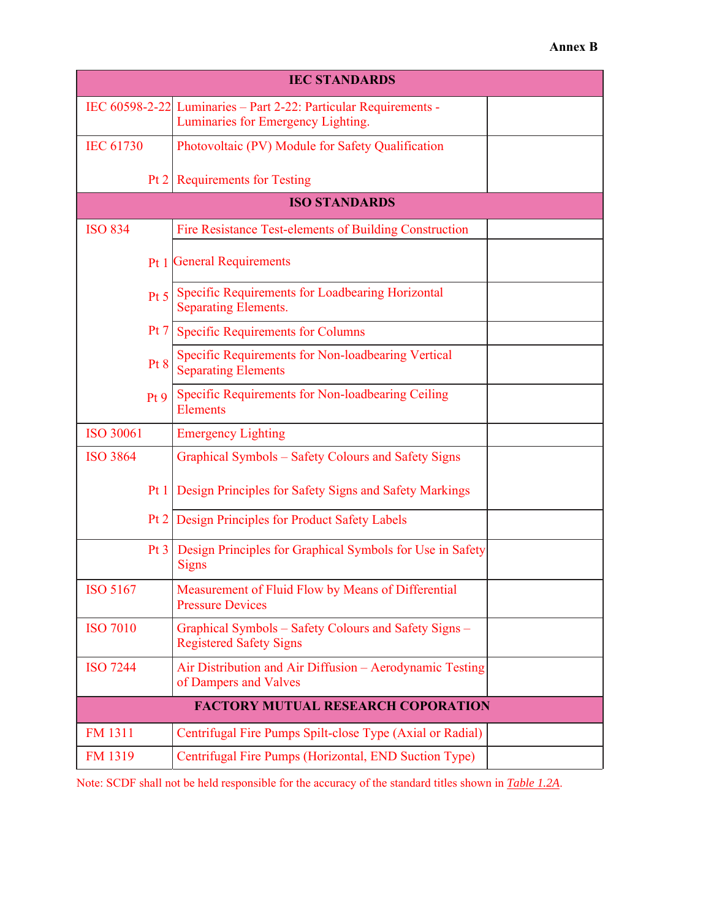| <b>IEC STANDARDS</b>                      |                                                                                                        |  |  |  |
|-------------------------------------------|--------------------------------------------------------------------------------------------------------|--|--|--|
|                                           | IEC 60598-2-22 Luminaries - Part 2-22: Particular Requirements -<br>Luminaries for Emergency Lighting. |  |  |  |
| <b>IEC 61730</b>                          | Photovoltaic (PV) Module for Safety Qualification                                                      |  |  |  |
|                                           | Pt 2   Requirements for Testing                                                                        |  |  |  |
|                                           | <b>ISO STANDARDS</b>                                                                                   |  |  |  |
| <b>ISO 834</b>                            | Fire Resistance Test-elements of Building Construction                                                 |  |  |  |
|                                           | <b>Pt 1 General Requirements</b>                                                                       |  |  |  |
| Pt 5                                      | Specific Requirements for Loadbearing Horizontal<br><b>Separating Elements.</b>                        |  |  |  |
| Pt 7                                      | <b>Specific Requirements for Columns</b>                                                               |  |  |  |
| Pt 8                                      | Specific Requirements for Non-loadbearing Vertical<br><b>Separating Elements</b>                       |  |  |  |
| Pt9                                       | Specific Requirements for Non-loadbearing Ceiling<br><b>Elements</b>                                   |  |  |  |
| <b>ISO 30061</b>                          | <b>Emergency Lighting</b>                                                                              |  |  |  |
| <b>ISO 3864</b>                           | <b>Graphical Symbols - Safety Colours and Safety Signs</b>                                             |  |  |  |
| Pt1                                       | Design Principles for Safety Signs and Safety Markings                                                 |  |  |  |
| Pt 2                                      | Design Principles for Product Safety Labels                                                            |  |  |  |
| Pt3                                       | Design Principles for Graphical Symbols for Use in Safety<br><b>Signs</b>                              |  |  |  |
| <b>ISO 5167</b>                           | Measurement of Fluid Flow by Means of Differential<br><b>Pressure Devices</b>                          |  |  |  |
| <b>ISO 7010</b>                           | Graphical Symbols - Safety Colours and Safety Signs -<br><b>Registered Safety Signs</b>                |  |  |  |
| <b>ISO 7244</b>                           | Air Distribution and Air Diffusion - Aerodynamic Testing<br>of Dampers and Valves                      |  |  |  |
| <b>FACTORY MUTUAL RESEARCH COPORATION</b> |                                                                                                        |  |  |  |
| FM 1311                                   | Centrifugal Fire Pumps Spilt-close Type (Axial or Radial)                                              |  |  |  |
| <b>FM 1319</b>                            | Centrifugal Fire Pumps (Horizontal, END Suction Type)                                                  |  |  |  |

Note: SCDF shall not be held responsible for the accuracy of the standard titles shown in *Table 1.2A*.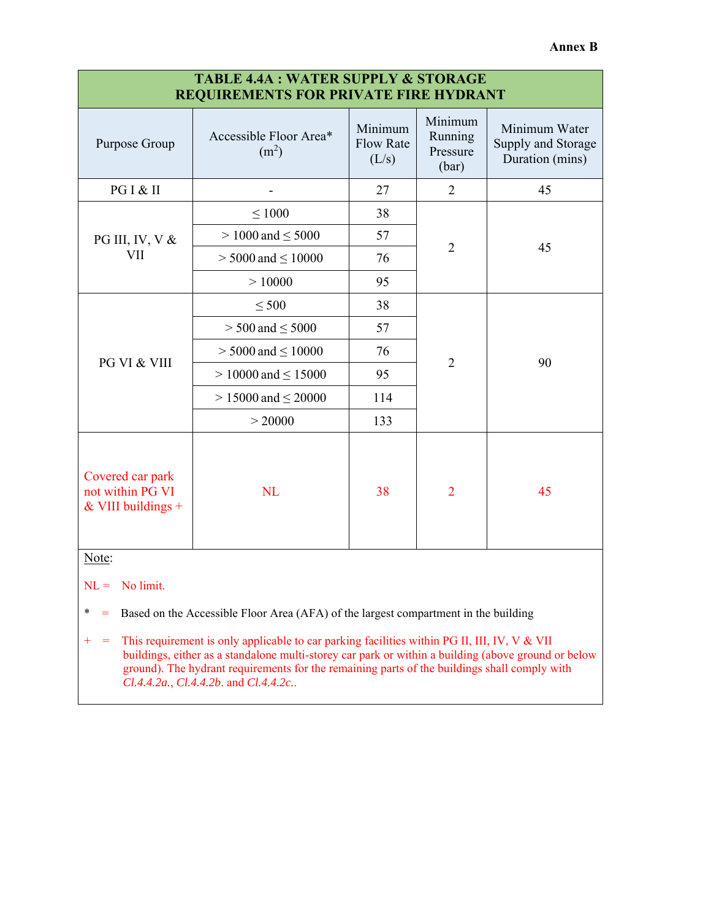| <b>TABLE 4.4A : WATER SUPPLY &amp; STORAGE</b><br><b>REQUIREMENTS FOR PRIVATE FIRE HYDRANT</b> |                                             |                                      |                                         |                                                        |
|------------------------------------------------------------------------------------------------|---------------------------------------------|--------------------------------------|-----------------------------------------|--------------------------------------------------------|
| Purpose Group                                                                                  | Accessible Floor Area*<br>(m <sup>2</sup> ) | Minimum<br><b>Flow Rate</b><br>(L/s) | Minimum<br>Running<br>Pressure<br>(bar) | Minimum Water<br>Supply and Storage<br>Duration (mins) |
| PG I & II                                                                                      |                                             | 27                                   | $\overline{2}$                          | 45                                                     |
|                                                                                                | $\leq 1000$                                 | 38                                   | $\overline{2}$                          | 45                                                     |
| PG III, IV, V $&$                                                                              | $> 1000$ and $\leq 5000$                    | 57                                   |                                         |                                                        |
| VII                                                                                            | $>5000$ and $\leq10000$                     | 76                                   |                                         |                                                        |
|                                                                                                | >10000                                      | 95                                   |                                         |                                                        |
|                                                                                                | $\leq 500$                                  | 38                                   | $\overline{2}$                          | 90                                                     |
|                                                                                                | $> 500$ and $\leq 5000$                     | 57                                   |                                         |                                                        |
|                                                                                                | $>$ 5000 and $\leq$ 10000                   | 76                                   |                                         |                                                        |
| PG VI & VIII                                                                                   | $> 10000$ and $\leq 15000$                  | 95                                   |                                         |                                                        |
|                                                                                                | $> 15000$ and $\leq 20000$                  | 114                                  |                                         |                                                        |
|                                                                                                | > 20000                                     | 133                                  |                                         |                                                        |
| Covered car park<br>not within PG VI<br>& VIII buildings $+$                                   | <b>NL</b>                                   | 38                                   | $\overline{2}$                          | 45                                                     |
| Note:                                                                                          |                                             |                                      |                                         |                                                        |

 $NL =$  No limit.

\* = Based on the Accessible Floor Area (AFA) of the largest compartment in the building

+ = This requirement is only applicable to car parking facilities within PG II, III, IV, V & VII buildings, either as a standalone multi-storey car park or within a building (above ground or below ground). The hydrant requirements for the remaining parts of the buildings shall comply with *Cl.4.4.2a.*, *Cl.4.4.2b*. and *Cl.4.4.2c.*.